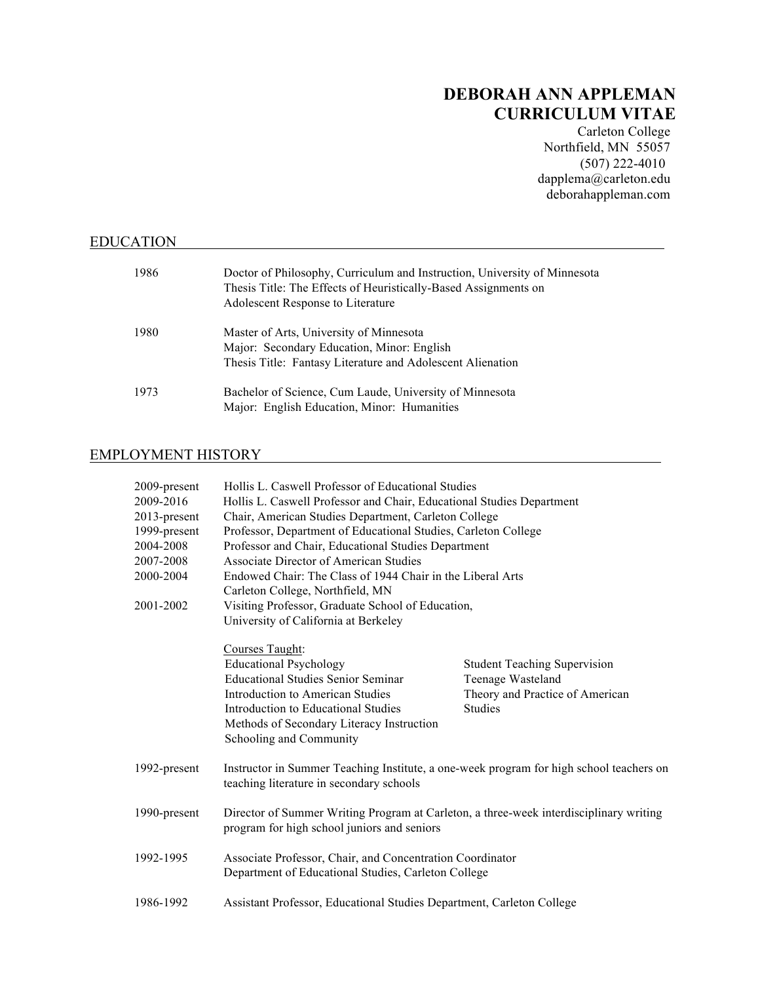# **DEBORAH ANN APPLEMAN CURRICULUM VITAE**

Carleton College Northfield, MN 55057 (507) 222-4010 dapplema@carleton.edu deborahappleman.com

# EDUCATION

| 1986 | Doctor of Philosophy, Curriculum and Instruction, University of Minnesota<br>Thesis Title: The Effects of Heuristically-Based Assignments on<br>Adolescent Response to Literature |
|------|-----------------------------------------------------------------------------------------------------------------------------------------------------------------------------------|
| 1980 | Master of Arts, University of Minnesota<br>Major: Secondary Education, Minor: English<br>Thesis Title: Fantasy Literature and Adolescent Alienation                               |
| 1973 | Bachelor of Science, Cum Laude, University of Minnesota<br>Major: English Education, Minor: Humanities                                                                            |

# EMPLOYMENT HISTORY

| 2009-present<br>2009-2016<br>2013-present<br>1999-present<br>2004-2008<br>2007-2008 | Hollis L. Caswell Professor of Educational Studies<br>Hollis L. Caswell Professor and Chair, Educational Studies Department<br>Chair, American Studies Department, Carleton College<br>Professor, Department of Educational Studies, Carleton College<br>Professor and Chair, Educational Studies Department<br>Associate Director of American Studies<br>Endowed Chair: The Class of 1944 Chair in the Liberal Arts<br>Carleton College, Northfield, MN |                                                                                                               |  |
|-------------------------------------------------------------------------------------|----------------------------------------------------------------------------------------------------------------------------------------------------------------------------------------------------------------------------------------------------------------------------------------------------------------------------------------------------------------------------------------------------------------------------------------------------------|---------------------------------------------------------------------------------------------------------------|--|
| 2000-2004                                                                           |                                                                                                                                                                                                                                                                                                                                                                                                                                                          |                                                                                                               |  |
| 2001-2002                                                                           | Visiting Professor, Graduate School of Education,<br>University of California at Berkeley                                                                                                                                                                                                                                                                                                                                                                |                                                                                                               |  |
|                                                                                     | Courses Taught:<br><b>Educational Psychology</b><br><b>Educational Studies Senior Seminar</b><br><b>Introduction to American Studies</b><br>Introduction to Educational Studies<br>Methods of Secondary Literacy Instruction<br>Schooling and Community                                                                                                                                                                                                  | <b>Student Teaching Supervision</b><br>Teenage Wasteland<br>Theory and Practice of American<br><b>Studies</b> |  |
| 1992-present                                                                        | Instructor in Summer Teaching Institute, a one-week program for high school teachers on<br>teaching literature in secondary schools                                                                                                                                                                                                                                                                                                                      |                                                                                                               |  |
| 1990-present                                                                        | Director of Summer Writing Program at Carleton, a three-week interdisciplinary writing<br>program for high school juniors and seniors                                                                                                                                                                                                                                                                                                                    |                                                                                                               |  |
| 1992-1995                                                                           | Associate Professor, Chair, and Concentration Coordinator<br>Department of Educational Studies, Carleton College                                                                                                                                                                                                                                                                                                                                         |                                                                                                               |  |
| 1986-1992                                                                           | Assistant Professor, Educational Studies Department, Carleton College                                                                                                                                                                                                                                                                                                                                                                                    |                                                                                                               |  |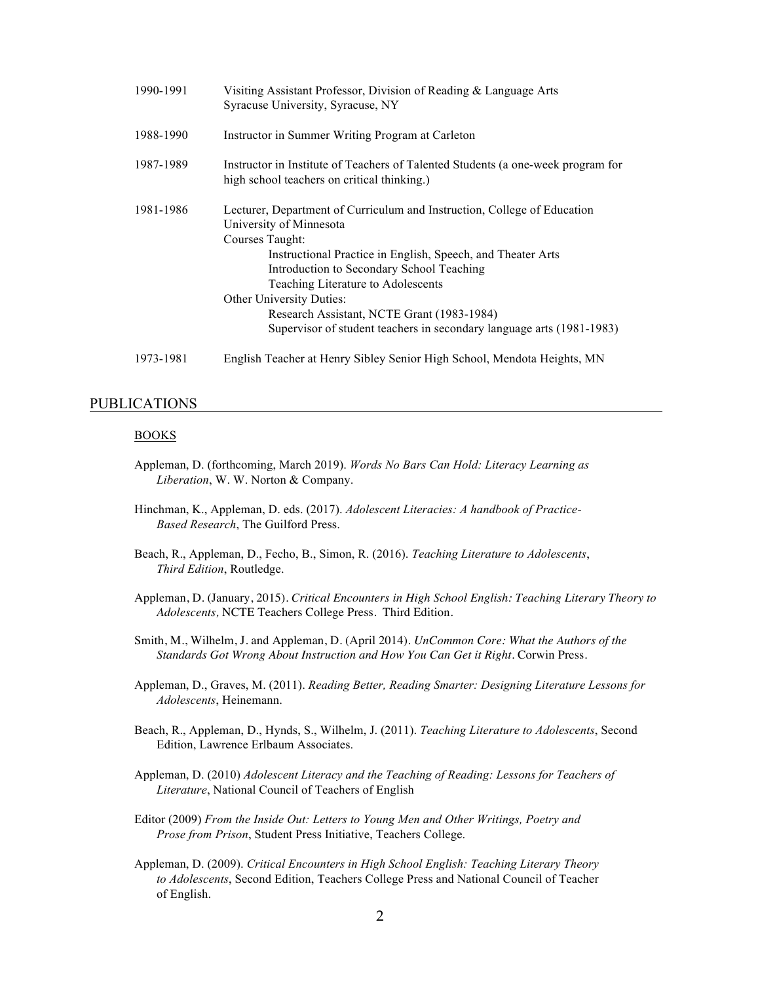| 1990-1991 | Visiting Assistant Professor, Division of Reading & Language Arts<br>Syracuse University, Syracuse, NY                                                                                                                                                                                                                                                                                                                      |  |
|-----------|-----------------------------------------------------------------------------------------------------------------------------------------------------------------------------------------------------------------------------------------------------------------------------------------------------------------------------------------------------------------------------------------------------------------------------|--|
| 1988-1990 | Instructor in Summer Writing Program at Carleton                                                                                                                                                                                                                                                                                                                                                                            |  |
| 1987-1989 | Instructor in Institute of Teachers of Talented Students (a one-week program for<br>high school teachers on critical thinking.)                                                                                                                                                                                                                                                                                             |  |
| 1981-1986 | Lecturer, Department of Curriculum and Instruction, College of Education<br>University of Minnesota<br>Courses Taught:<br>Instructional Practice in English, Speech, and Theater Arts<br>Introduction to Secondary School Teaching<br>Teaching Literature to Adolescents<br>Other University Duties:<br>Research Assistant, NCTE Grant (1983-1984)<br>Supervisor of student teachers in secondary language arts (1981-1983) |  |
| 1973-1981 | English Teacher at Henry Sibley Senior High School, Mendota Heights, MN                                                                                                                                                                                                                                                                                                                                                     |  |

# PUBLICATIONS

#### BOOKS

- Appleman, D. (forthcoming, March 2019). *Words No Bars Can Hold: Literacy Learning as Liberation*, W. W. Norton & Company.
- Hinchman, K., Appleman, D. eds. (2017). *Adolescent Literacies: A handbook of Practice-Based Research*, The Guilford Press.
- Beach, R., Appleman, D., Fecho, B., Simon, R. (2016). *Teaching Literature to Adolescents*, *Third Edition*, Routledge.
- Appleman, D. (January, 2015). *Critical Encounters in High School English: Teaching Literary Theory to Adolescents,* NCTE Teachers College Press. Third Edition.
- Smith, M., Wilhelm, J. and Appleman, D. (April 2014). *UnCommon Core: What the Authors of the Standards Got Wrong About Instruction and How You Can Get it Right*. Corwin Press.
- Appleman, D., Graves, M. (2011). *Reading Better, Reading Smarter: Designing Literature Lessons for Adolescents*, Heinemann.
- Beach, R., Appleman, D., Hynds, S., Wilhelm, J. (2011). *Teaching Literature to Adolescents*, Second Edition, Lawrence Erlbaum Associates.
- Appleman, D. (2010) *Adolescent Literacy and the Teaching of Reading: Lessons for Teachers of Literature*, National Council of Teachers of English
- Editor (2009) *From the Inside Out: Letters to Young Men and Other Writings, Poetry and Prose from Prison*, Student Press Initiative, Teachers College.
- Appleman, D. (2009). *Critical Encounters in High School English: Teaching Literary Theory to Adolescents*, Second Edition, Teachers College Press and National Council of Teacher of English.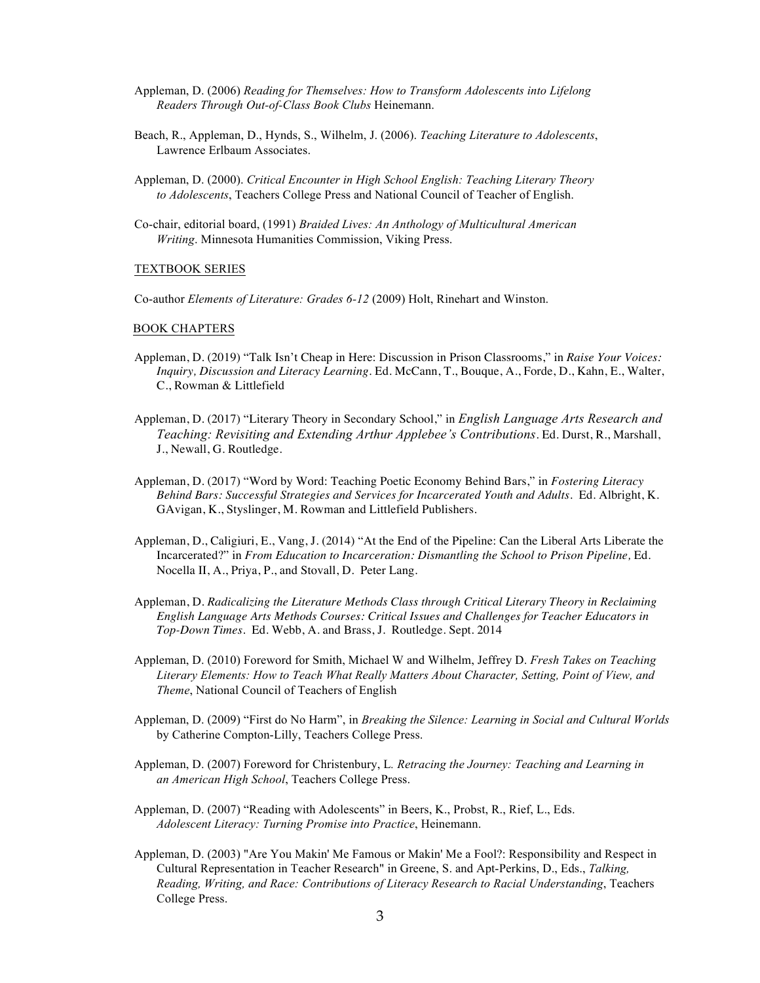- Appleman, D. (2006) *Reading for Themselves: How to Transform Adolescents into Lifelong Readers Through Out-of-Class Book Clubs* Heinemann.
- Beach, R., Appleman, D., Hynds, S., Wilhelm, J. (2006). *Teaching Literature to Adolescents*, Lawrence Erlbaum Associates.
- Appleman, D. (2000). *Critical Encounter in High School English: Teaching Literary Theory to Adolescents*, Teachers College Press and National Council of Teacher of English.
- Co-chair, editorial board, (1991) *Braided Lives: An Anthology of Multicultural American Writing*. Minnesota Humanities Commission, Viking Press.

#### TEXTBOOK SERIES

Co-author *Elements of Literature: Grades 6-12* (2009) Holt, Rinehart and Winston.

#### BOOK CHAPTERS

- Appleman, D. (2019) "Talk Isn't Cheap in Here: Discussion in Prison Classrooms," in *Raise Your Voices: Inquiry, Discussion and Literacy Learning*. Ed. McCann, T., Bouque, A., Forde, D., Kahn, E., Walter, C., Rowman & Littlefield
- Appleman, D. (2017) "Literary Theory in Secondary School," in *English Language Arts Research and Teaching: Revisiting and Extending Arthur Applebee's Contributions.* Ed. Durst, R., Marshall, J., Newall, G. Routledge.
- Appleman, D. (2017) "Word by Word: Teaching Poetic Economy Behind Bars," in *Fostering Literacy Behind Bars: Successful Strategies and Services for Incarcerated Youth and Adults*. Ed. Albright, K. GAvigan, K., Styslinger, M. Rowman and Littlefield Publishers.
- Appleman, D., Caligiuri, E., Vang, J. (2014) "At the End of the Pipeline: Can the Liberal Arts Liberate the Incarcerated?" in *From Education to Incarceration: Dismantling the School to Prison Pipeline,* Ed. Nocella II, A., Priya, P., and Stovall, D. Peter Lang.
- Appleman, D. *Radicalizing the Literature Methods Class through Critical Literary Theory in Reclaiming English Language Arts Methods Courses: Critical Issues and Challenges for Teacher Educators in Top-Down Times.* Ed. Webb, A. and Brass, J. Routledge. Sept. 2014
- Appleman, D. (2010) Foreword for Smith, Michael W and Wilhelm, Jeffrey D. *Fresh Takes on Teaching Literary Elements: How to Teach What Really Matters About Character, Setting, Point of View, and Theme*, National Council of Teachers of English
- Appleman, D. (2009) "First do No Harm", in *Breaking the Silence: Learning in Social and Cultural Worlds* by Catherine Compton-Lilly, Teachers College Press.
- Appleman, D. (2007) Foreword for Christenbury, L*. Retracing the Journey: Teaching and Learning in an American High School*, Teachers College Press.
- Appleman, D. (2007) "Reading with Adolescents" in Beers, K., Probst, R., Rief, L., Eds. *Adolescent Literacy: Turning Promise into Practice*, Heinemann.
- Appleman, D. (2003) "Are You Makin' Me Famous or Makin' Me a Fool?: Responsibility and Respect in Cultural Representation in Teacher Research" in Greene, S. and Apt-Perkins, D., Eds., *Talking, Reading, Writing, and Race: Contributions of Literacy Research to Racial Understanding*, Teachers College Press.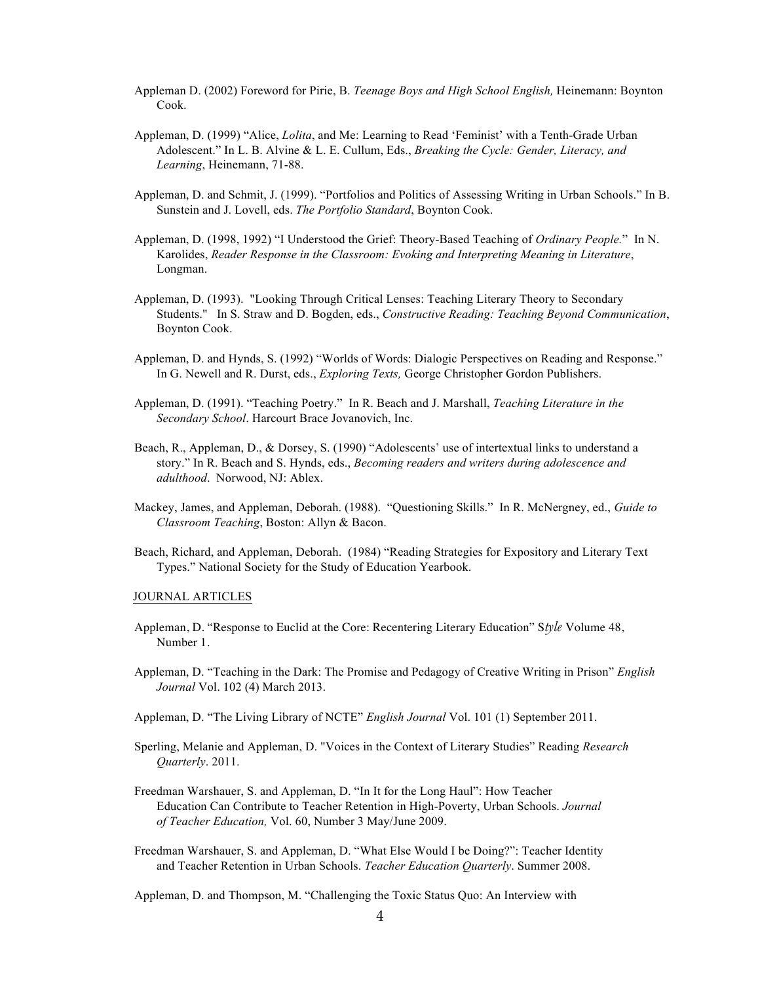- Appleman D. (2002) Foreword for Pirie, B. *Teenage Boys and High School English,* Heinemann: Boynton Cook.
- Appleman, D. (1999) "Alice, *Lolita*, and Me: Learning to Read 'Feminist' with a Tenth-Grade Urban Adolescent." In L. B. Alvine & L. E. Cullum, Eds., *Breaking the Cycle: Gender, Literacy, and Learning*, Heinemann, 71-88.
- Appleman, D. and Schmit, J. (1999). "Portfolios and Politics of Assessing Writing in Urban Schools." In B. Sunstein and J. Lovell, eds. *The Portfolio Standard*, Boynton Cook.
- Appleman, D. (1998, 1992) "I Understood the Grief: Theory-Based Teaching of *Ordinary People.*" In N. Karolides, *Reader Response in the Classroom: Evoking and Interpreting Meaning in Literature*, Longman.
- Appleman, D. (1993). "Looking Through Critical Lenses: Teaching Literary Theory to Secondary Students." In S. Straw and D. Bogden, eds., *Constructive Reading: Teaching Beyond Communication*, Boynton Cook.
- Appleman, D. and Hynds, S. (1992) "Worlds of Words: Dialogic Perspectives on Reading and Response." In G. Newell and R. Durst, eds., *Exploring Texts,* George Christopher Gordon Publishers.
- Appleman, D. (1991). "Teaching Poetry." In R. Beach and J. Marshall, *Teaching Literature in the Secondary School*. Harcourt Brace Jovanovich, Inc.
- Beach, R., Appleman, D., & Dorsey, S. (1990) "Adolescents' use of intertextual links to understand a story." In R. Beach and S. Hynds, eds., *Becoming readers and writers during adolescence and adulthood*. Norwood, NJ: Ablex.
- Mackey, James, and Appleman, Deborah. (1988). "Questioning Skills." In R. McNergney, ed., *Guide to Classroom Teaching*, Boston: Allyn & Bacon.
- Beach, Richard, and Appleman, Deborah. (1984) "Reading Strategies for Expository and Literary Text Types." National Society for the Study of Education Yearbook.

#### JOURNAL ARTICLES

- Appleman, D. "Response to Euclid at the Core: Recentering Literary Education" S*tyle* Volume 48, Number 1.
- Appleman, D. "Teaching in the Dark: The Promise and Pedagogy of Creative Writing in Prison" *English Journal* Vol. 102 (4) March 2013.
- Appleman, D. "The Living Library of NCTE" *English Journal* Vol. 101 (1) September 2011.
- Sperling, Melanie and Appleman, D. "Voices in the Context of Literary Studies" Reading *Research Quarterly*. 2011.
- Freedman Warshauer, S. and Appleman, D. "In It for the Long Haul": How Teacher Education Can Contribute to Teacher Retention in High-Poverty, Urban Schools. *Journal of Teacher Education,* Vol. 60, Number 3 May/June 2009.
- Freedman Warshauer, S. and Appleman, D. "What Else Would I be Doing?": Teacher Identity and Teacher Retention in Urban Schools. *Teacher Education Quarterly*. Summer 2008.

Appleman, D. and Thompson, M. "Challenging the Toxic Status Quo: An Interview with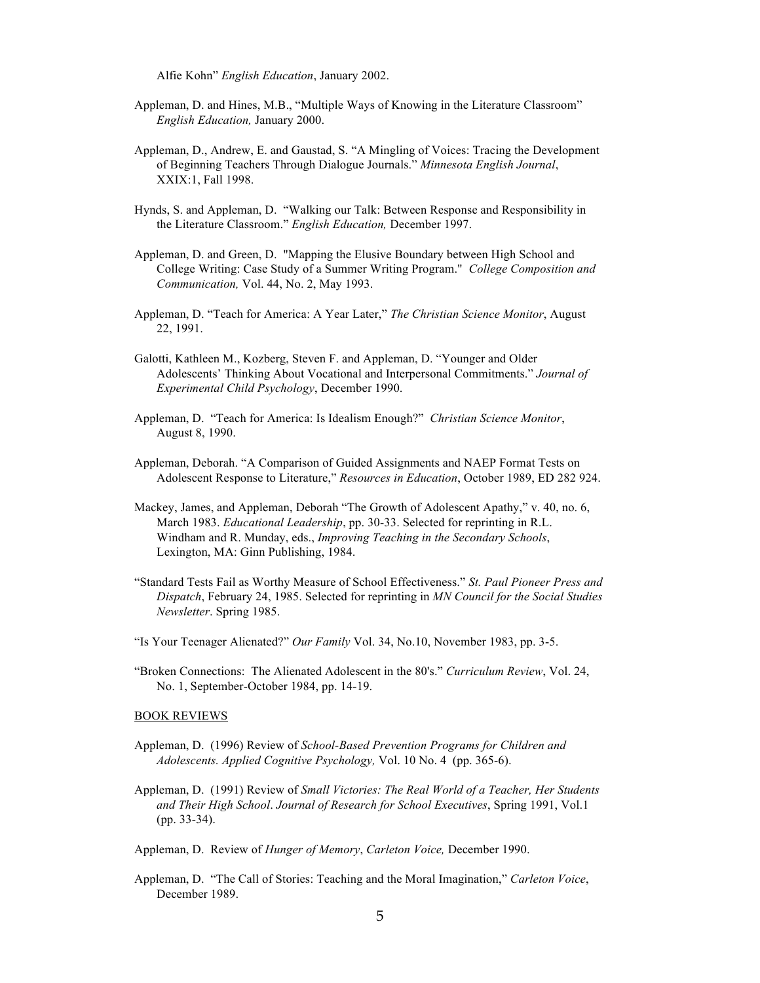Alfie Kohn" *English Education*, January 2002.

- Appleman, D. and Hines, M.B., "Multiple Ways of Knowing in the Literature Classroom" *English Education,* January 2000.
- Appleman, D., Andrew, E. and Gaustad, S. "A Mingling of Voices: Tracing the Development of Beginning Teachers Through Dialogue Journals." *Minnesota English Journal*, XXIX:1, Fall 1998.
- Hynds, S. and Appleman, D. "Walking our Talk: Between Response and Responsibility in the Literature Classroom." *English Education,* December 1997.
- Appleman, D. and Green, D. "Mapping the Elusive Boundary between High School and College Writing: Case Study of a Summer Writing Program." *College Composition and Communication,* Vol. 44, No. 2, May 1993.
- Appleman, D. "Teach for America: A Year Later," *The Christian Science Monitor*, August 22, 1991.
- Galotti, Kathleen M., Kozberg, Steven F. and Appleman, D. "Younger and Older Adolescents' Thinking About Vocational and Interpersonal Commitments." *Journal of Experimental Child Psychology*, December 1990.
- Appleman, D. "Teach for America: Is Idealism Enough?" *Christian Science Monitor*, August 8, 1990.
- Appleman, Deborah. "A Comparison of Guided Assignments and NAEP Format Tests on Adolescent Response to Literature," *Resources in Education*, October 1989, ED 282 924.
- Mackey, James, and Appleman, Deborah "The Growth of Adolescent Apathy," v. 40, no. 6, March 1983. *Educational Leadership*, pp. 30-33. Selected for reprinting in R.L. Windham and R. Munday, eds., *Improving Teaching in the Secondary Schools*, Lexington, MA: Ginn Publishing, 1984.
- "Standard Tests Fail as Worthy Measure of School Effectiveness." *St. Paul Pioneer Press and Dispatch*, February 24, 1985. Selected for reprinting in *MN Council for the Social Studies Newsletter*. Spring 1985.
- "Is Your Teenager Alienated?" *Our Family* Vol. 34, No.10, November 1983, pp. 3-5.
- "Broken Connections: The Alienated Adolescent in the 80's." *Curriculum Review*, Vol. 24, No. 1, September-October 1984, pp. 14-19.

#### BOOK REVIEWS

- Appleman, D. (1996) Review of *School-Based Prevention Programs for Children and Adolescents. Applied Cognitive Psychology,* Vol. 10 No. 4 (pp. 365-6).
- Appleman, D. (1991) Review of *Small Victories: The Real World of a Teacher, Her Students and Their High School*. *Journal of Research for School Executives*, Spring 1991, Vol.1 (pp. 33-34).

Appleman, D. Review of *Hunger of Memory*, *Carleton Voice,* December 1990.

Appleman, D. "The Call of Stories: Teaching and the Moral Imagination," *Carleton Voice*, December 1989.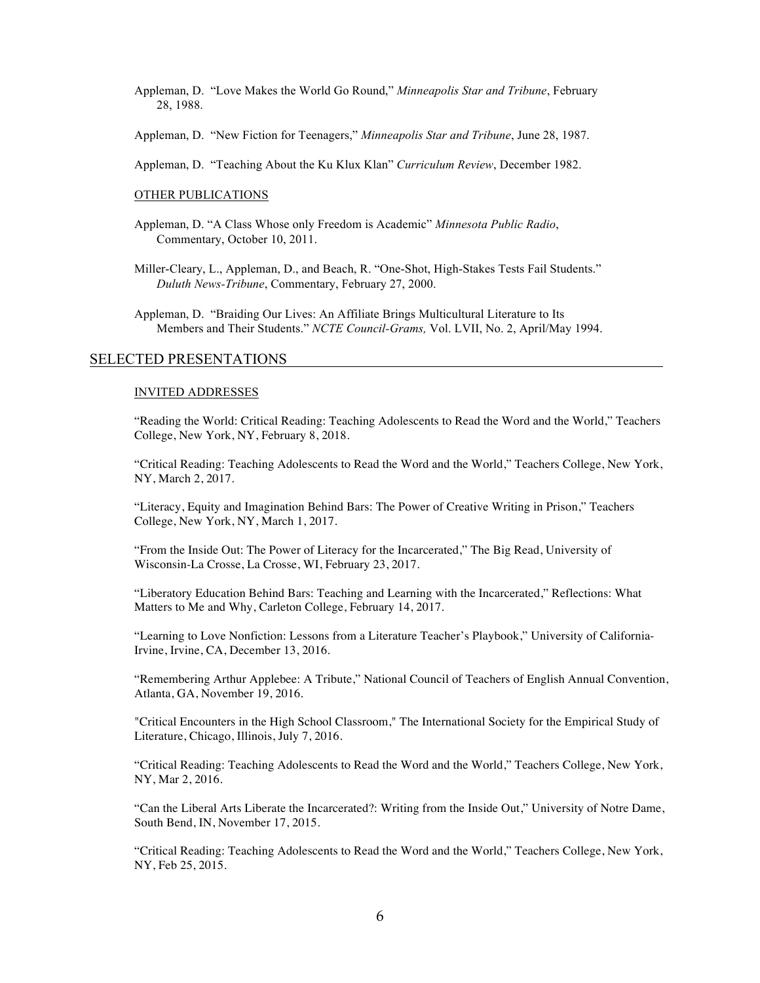- Appleman, D. "Love Makes the World Go Round," *Minneapolis Star and Tribune*, February 28, 1988.
- Appleman, D. "New Fiction for Teenagers," *Minneapolis Star and Tribune*, June 28, 1987.
- Appleman, D. "Teaching About the Ku Klux Klan" *Curriculum Review*, December 1982.

#### OTHER PUBLICATIONS

- Appleman, D. "A Class Whose only Freedom is Academic" *Minnesota Public Radio*, Commentary, October 10, 2011.
- Miller-Cleary, L., Appleman, D., and Beach, R. "One-Shot, High-Stakes Tests Fail Students." *Duluth News-Tribune*, Commentary, February 27, 2000.

Appleman, D. "Braiding Our Lives: An Affiliate Brings Multicultural Literature to Its Members and Their Students." *NCTE Council-Grams,* Vol. LVII, No. 2, April/May 1994.

#### SELECTED PRESENTATIONS

#### INVITED ADDRESSES

"Reading the World: Critical Reading: Teaching Adolescents to Read the Word and the World," Teachers College, New York, NY, February 8, 2018.

"Critical Reading: Teaching Adolescents to Read the Word and the World," Teachers College, New York, NY, March 2, 2017.

"Literacy, Equity and Imagination Behind Bars: The Power of Creative Writing in Prison," Teachers College, New York, NY, March 1, 2017.

"From the Inside Out: The Power of Literacy for the Incarcerated," The Big Read, University of Wisconsin-La Crosse, La Crosse, WI, February 23, 2017.

"Liberatory Education Behind Bars: Teaching and Learning with the Incarcerated," Reflections: What Matters to Me and Why, Carleton College, February 14, 2017.

"Learning to Love Nonfiction: Lessons from a Literature Teacher's Playbook," University of California-Irvine, Irvine, CA, December 13, 2016.

"Remembering Arthur Applebee: A Tribute," National Council of Teachers of English Annual Convention, Atlanta, GA, November 19, 2016.

"Critical Encounters in the High School Classroom," The International Society for the Empirical Study of Literature, Chicago, Illinois, July 7, 2016.

"Critical Reading: Teaching Adolescents to Read the Word and the World," Teachers College, New York, NY, Mar 2, 2016.

"Can the Liberal Arts Liberate the Incarcerated?: Writing from the Inside Out," University of Notre Dame, South Bend, IN, November 17, 2015.

"Critical Reading: Teaching Adolescents to Read the Word and the World," Teachers College, New York, NY, Feb 25, 2015.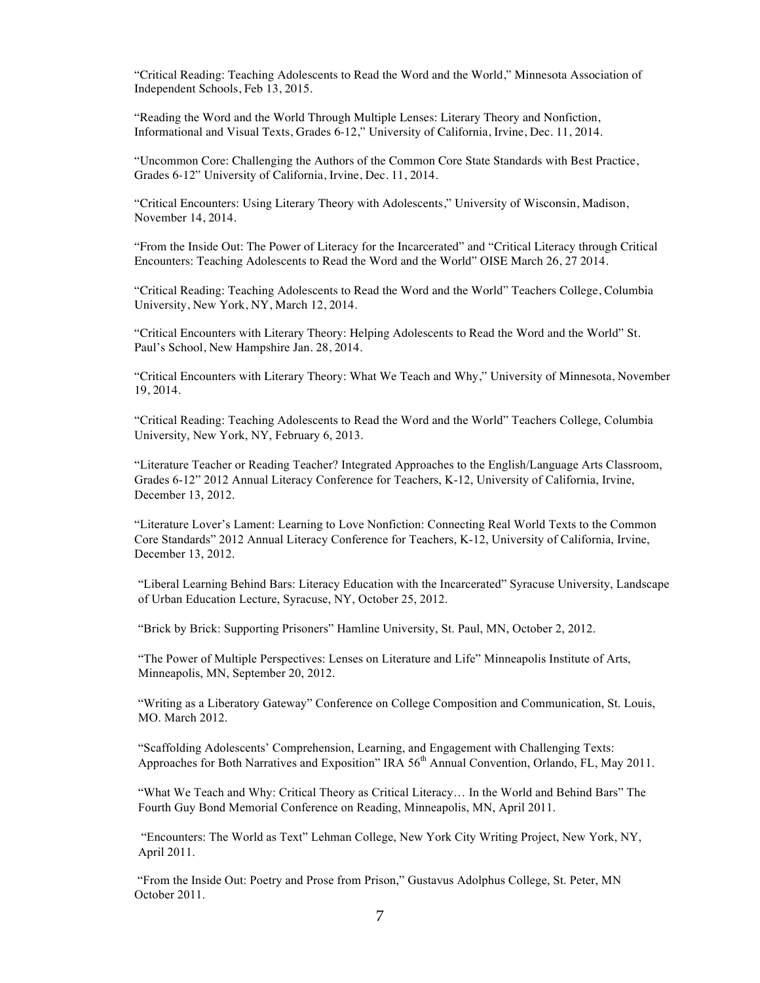"Critical Reading: Teaching Adolescents to Read the Word and the World," Minnesota Association of Independent Schools, Feb 13, 2015.

"Reading the Word and the World Through Multiple Lenses: Literary Theory and Nonfiction, Informational and Visual Texts, Grades 6-12," University of California, Irvine, Dec. 11, 2014.

"Uncommon Core: Challenging the Authors of the Common Core State Standards with Best Practice, Grades 6-12" University of California, Irvine, Dec. 11, 2014.

"Critical Encounters: Using Literary Theory with Adolescents," University of Wisconsin, Madison, November 14, 2014.

"From the Inside Out: The Power of Literacy for the Incarcerated" and "Critical Literacy through Critical Encounters: Teaching Adolescents to Read the Word and the World" OISE March 26, 27 2014.

"Critical Reading: Teaching Adolescents to Read the Word and the World" Teachers College, Columbia University, New York, NY, March 12, 2014.

"Critical Encounters with Literary Theory: Helping Adolescents to Read the Word and the World" St. Paul's School, New Hampshire Jan. 28, 2014.

"Critical Encounters with Literary Theory: What We Teach and Why," University of Minnesota, November 19, 2014.

"Critical Reading: Teaching Adolescents to Read the Word and the World" Teachers College, Columbia University, New York, NY, February 6, 2013.

"Literature Teacher or Reading Teacher? Integrated Approaches to the English/Language Arts Classroom, Grades 6-12" 2012 Annual Literacy Conference for Teachers, K-12, University of California, Irvine, December 13, 2012.

"Literature Lover's Lament: Learning to Love Nonfiction: Connecting Real World Texts to the Common Core Standards" 2012 Annual Literacy Conference for Teachers, K-12, University of California, Irvine, December 13, 2012.

"Liberal Learning Behind Bars: Literacy Education with the Incarcerated" Syracuse University, Landscape of Urban Education Lecture, Syracuse, NY, October 25, 2012.

"Brick by Brick: Supporting Prisoners" Hamline University, St. Paul, MN, October 2, 2012.

"The Power of Multiple Perspectives: Lenses on Literature and Life" Minneapolis Institute of Arts, Minneapolis, MN, September 20, 2012.

"Writing as a Liberatory Gateway" Conference on College Composition and Communication, St. Louis, MO. March 2012.

"Scaffolding Adolescents' Comprehension, Learning, and Engagement with Challenging Texts: Approaches for Both Narratives and Exposition" IRA 56<sup>th</sup> Annual Convention, Orlando, FL, May 2011.

"What We Teach and Why: Critical Theory as Critical Literacy… In the World and Behind Bars" The Fourth Guy Bond Memorial Conference on Reading, Minneapolis, MN, April 2011.

"Encounters: The World as Text" Lehman College, New York City Writing Project, New York, NY, April 2011.

"From the Inside Out: Poetry and Prose from Prison," Gustavus Adolphus College, St. Peter, MN October 2011.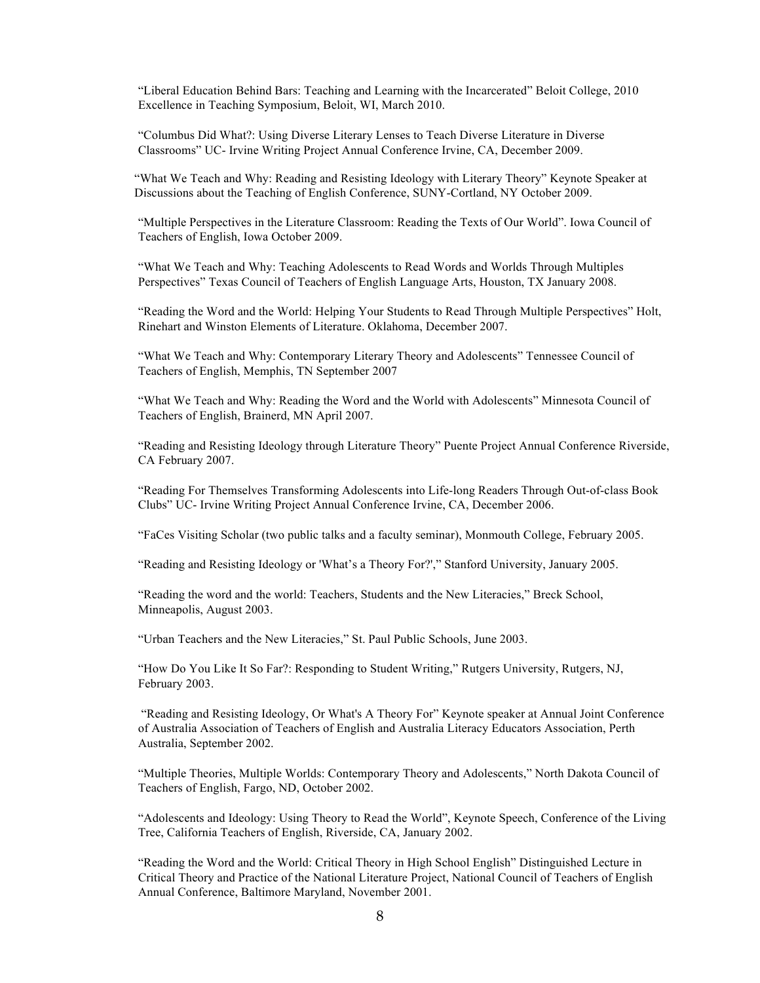"Liberal Education Behind Bars: Teaching and Learning with the Incarcerated" Beloit College, 2010 Excellence in Teaching Symposium, Beloit, WI, March 2010.

"Columbus Did What?: Using Diverse Literary Lenses to Teach Diverse Literature in Diverse Classrooms" UC- Irvine Writing Project Annual Conference Irvine, CA, December 2009.

"What We Teach and Why: Reading and Resisting Ideology with Literary Theory" Keynote Speaker at Discussions about the Teaching of English Conference, SUNY-Cortland, NY October 2009.

"Multiple Perspectives in the Literature Classroom: Reading the Texts of Our World". Iowa Council of Teachers of English, Iowa October 2009.

"What We Teach and Why: Teaching Adolescents to Read Words and Worlds Through Multiples Perspectives" Texas Council of Teachers of English Language Arts, Houston, TX January 2008.

"Reading the Word and the World: Helping Your Students to Read Through Multiple Perspectives" Holt, Rinehart and Winston Elements of Literature. Oklahoma, December 2007.

"What We Teach and Why: Contemporary Literary Theory and Adolescents" Tennessee Council of Teachers of English, Memphis, TN September 2007

"What We Teach and Why: Reading the Word and the World with Adolescents" Minnesota Council of Teachers of English, Brainerd, MN April 2007.

"Reading and Resisting Ideology through Literature Theory" Puente Project Annual Conference Riverside, CA February 2007.

"Reading For Themselves Transforming Adolescents into Life-long Readers Through Out-of-class Book Clubs" UC- Irvine Writing Project Annual Conference Irvine, CA, December 2006.

"FaCes Visiting Scholar (two public talks and a faculty seminar), Monmouth College, February 2005.

"Reading and Resisting Ideology or 'What's a Theory For?'," Stanford University, January 2005.

"Reading the word and the world: Teachers, Students and the New Literacies," Breck School, Minneapolis, August 2003.

"Urban Teachers and the New Literacies," St. Paul Public Schools, June 2003.

"How Do You Like It So Far?: Responding to Student Writing," Rutgers University, Rutgers, NJ, February 2003.

"Reading and Resisting Ideology, Or What's A Theory For" Keynote speaker at Annual Joint Conference of Australia Association of Teachers of English and Australia Literacy Educators Association, Perth Australia, September 2002.

"Multiple Theories, Multiple Worlds: Contemporary Theory and Adolescents," North Dakota Council of Teachers of English, Fargo, ND, October 2002.

"Adolescents and Ideology: Using Theory to Read the World", Keynote Speech, Conference of the Living Tree, California Teachers of English, Riverside, CA, January 2002.

"Reading the Word and the World: Critical Theory in High School English" Distinguished Lecture in Critical Theory and Practice of the National Literature Project, National Council of Teachers of English Annual Conference, Baltimore Maryland, November 2001.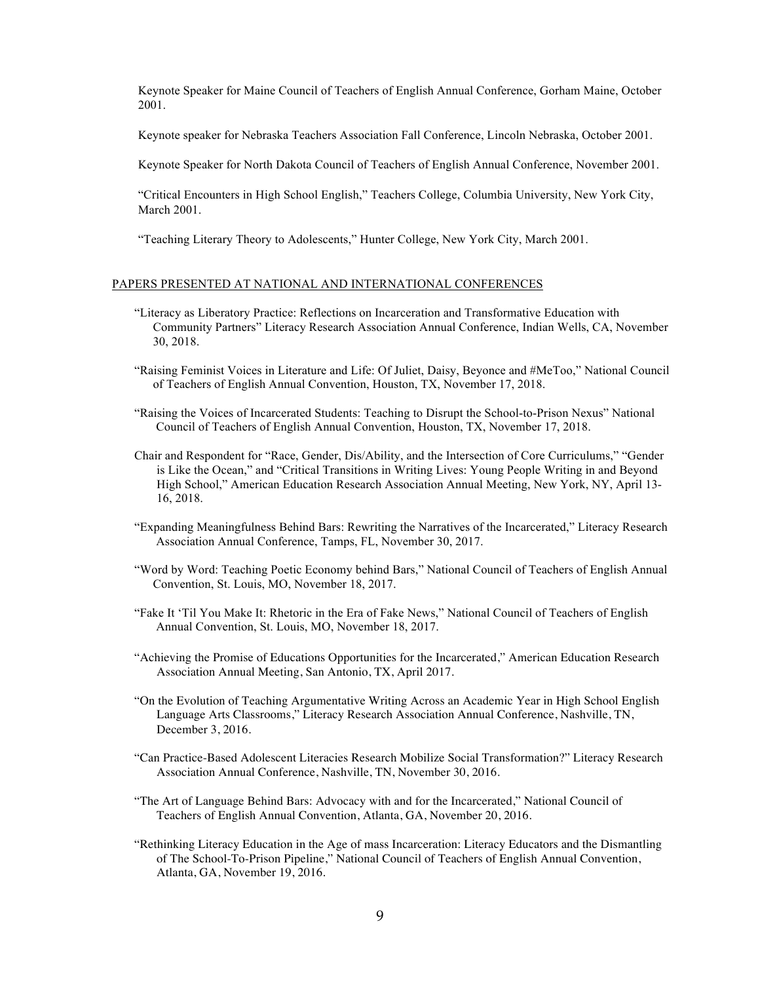Keynote Speaker for Maine Council of Teachers of English Annual Conference, Gorham Maine, October 2001.

Keynote speaker for Nebraska Teachers Association Fall Conference, Lincoln Nebraska, October 2001.

Keynote Speaker for North Dakota Council of Teachers of English Annual Conference, November 2001.

"Critical Encounters in High School English," Teachers College, Columbia University, New York City, March 2001.

"Teaching Literary Theory to Adolescents," Hunter College, New York City, March 2001.

#### PAPERS PRESENTED AT NATIONAL AND INTERNATIONAL CONFERENCES

- "Literacy as Liberatory Practice: Reflections on Incarceration and Transformative Education with Community Partners" Literacy Research Association Annual Conference, Indian Wells, CA, November 30, 2018.
- "Raising Feminist Voices in Literature and Life: Of Juliet, Daisy, Beyonce and #MeToo," National Council of Teachers of English Annual Convention, Houston, TX, November 17, 2018.
- "Raising the Voices of Incarcerated Students: Teaching to Disrupt the School-to-Prison Nexus" National Council of Teachers of English Annual Convention, Houston, TX, November 17, 2018.
- Chair and Respondent for "Race, Gender, Dis/Ability, and the Intersection of Core Curriculums," "Gender is Like the Ocean," and "Critical Transitions in Writing Lives: Young People Writing in and Beyond High School," American Education Research Association Annual Meeting, New York, NY, April 13- 16, 2018.
- "Expanding Meaningfulness Behind Bars: Rewriting the Narratives of the Incarcerated," Literacy Research Association Annual Conference, Tamps, FL, November 30, 2017.
- "Word by Word: Teaching Poetic Economy behind Bars," National Council of Teachers of English Annual Convention, St. Louis, MO, November 18, 2017.
- "Fake It 'Til You Make It: Rhetoric in the Era of Fake News," National Council of Teachers of English Annual Convention, St. Louis, MO, November 18, 2017.
- "Achieving the Promise of Educations Opportunities for the Incarcerated," American Education Research Association Annual Meeting, San Antonio, TX, April 2017.
- "On the Evolution of Teaching Argumentative Writing Across an Academic Year in High School English Language Arts Classrooms," Literacy Research Association Annual Conference, Nashville, TN, December 3, 2016.
- "Can Practice-Based Adolescent Literacies Research Mobilize Social Transformation?" Literacy Research Association Annual Conference, Nashville, TN, November 30, 2016.
- "The Art of Language Behind Bars: Advocacy with and for the Incarcerated," National Council of Teachers of English Annual Convention, Atlanta, GA, November 20, 2016.
- "Rethinking Literacy Education in the Age of mass Incarceration: Literacy Educators and the Dismantling of The School-To-Prison Pipeline," National Council of Teachers of English Annual Convention, Atlanta, GA, November 19, 2016.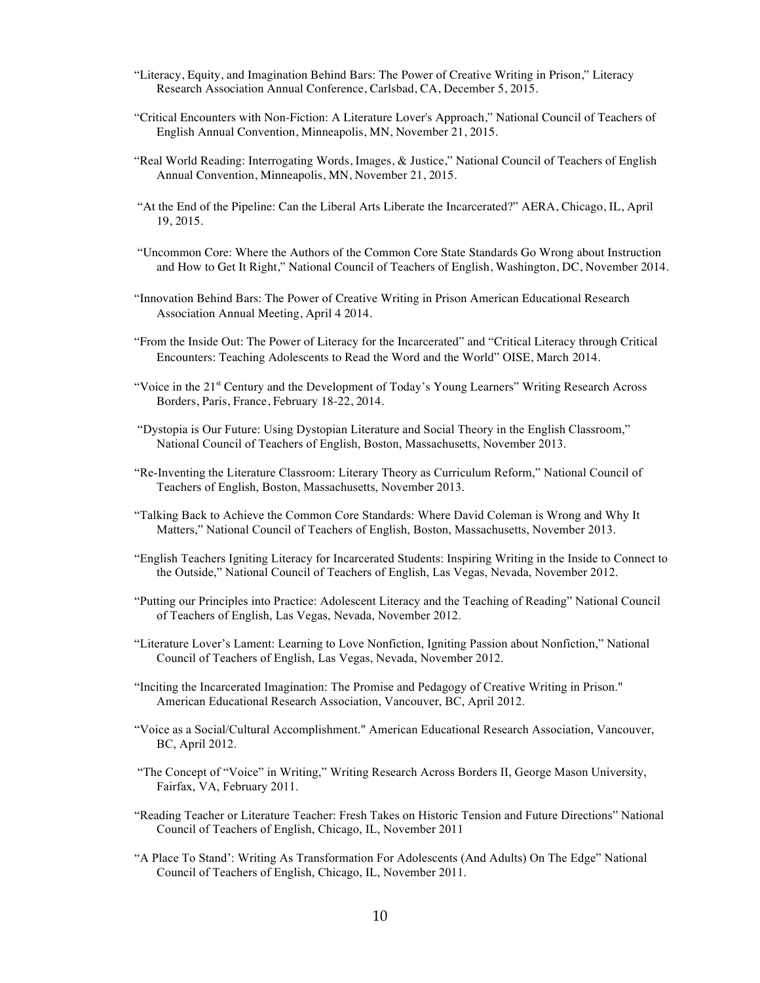- "Literacy, Equity, and Imagination Behind Bars: The Power of Creative Writing in Prison," Literacy Research Association Annual Conference, Carlsbad, CA, December 5, 2015.
- "Critical Encounters with Non-Fiction: A Literature Lover's Approach," National Council of Teachers of English Annual Convention, Minneapolis, MN, November 21, 2015.
- "Real World Reading: Interrogating Words, Images, & Justice," National Council of Teachers of English Annual Convention, Minneapolis, MN, November 21, 2015.
- "At the End of the Pipeline: Can the Liberal Arts Liberate the Incarcerated?" AERA, Chicago, IL, April 19, 2015.
- "Uncommon Core: Where the Authors of the Common Core State Standards Go Wrong about Instruction and How to Get It Right," National Council of Teachers of English, Washington, DC, November 2014.
- "Innovation Behind Bars: The Power of Creative Writing in Prison American Educational Research Association Annual Meeting, April 4 2014.
- "From the Inside Out: The Power of Literacy for the Incarcerated" and "Critical Literacy through Critical Encounters: Teaching Adolescents to Read the Word and the World" OISE, March 2014.
- "Voice in the 21<sup>st</sup> Century and the Development of Today's Young Learners" Writing Research Across Borders, Paris, France, February 18-22, 2014.
- "Dystopia is Our Future: Using Dystopian Literature and Social Theory in the English Classroom," National Council of Teachers of English, Boston, Massachusetts, November 2013.
- "Re-Inventing the Literature Classroom: Literary Theory as Curriculum Reform," National Council of Teachers of English, Boston, Massachusetts, November 2013.
- "Talking Back to Achieve the Common Core Standards: Where David Coleman is Wrong and Why It Matters," National Council of Teachers of English, Boston, Massachusetts, November 2013.
- "English Teachers Igniting Literacy for Incarcerated Students: Inspiring Writing in the Inside to Connect to the Outside," National Council of Teachers of English, Las Vegas, Nevada, November 2012.
- "Putting our Principles into Practice: Adolescent Literacy and the Teaching of Reading" National Council of Teachers of English, Las Vegas, Nevada, November 2012.
- "Literature Lover's Lament: Learning to Love Nonfiction, Igniting Passion about Nonfiction," National Council of Teachers of English, Las Vegas, Nevada, November 2012.
- "Inciting the Incarcerated Imagination: The Promise and Pedagogy of Creative Writing in Prison." American Educational Research Association, Vancouver, BC, April 2012.
- "Voice as a Social/Cultural Accomplishment." American Educational Research Association, Vancouver, BC, April 2012.
- "The Concept of "Voice" in Writing," Writing Research Across Borders II, George Mason University, Fairfax, VA, February 2011.
- "Reading Teacher or Literature Teacher: Fresh Takes on Historic Tension and Future Directions" National Council of Teachers of English, Chicago, IL, November 2011
- "A Place To Stand': Writing As Transformation For Adolescents (And Adults) On The Edge" National Council of Teachers of English, Chicago, IL, November 2011.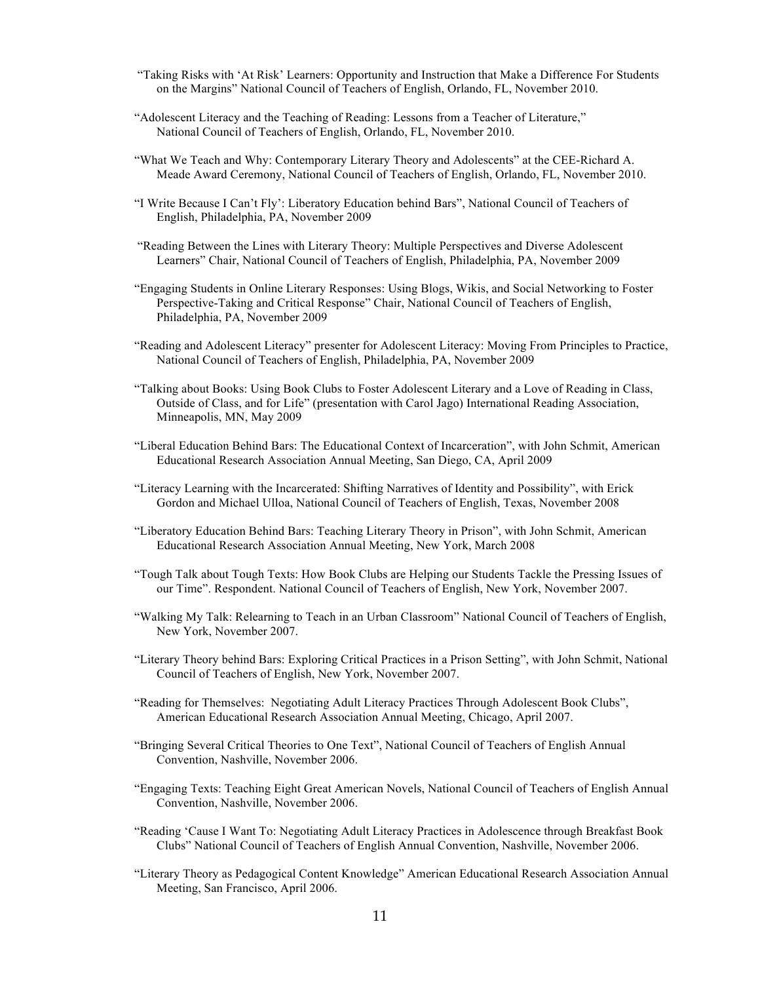- "Taking Risks with 'At Risk' Learners: Opportunity and Instruction that Make a Difference For Students on the Margins" National Council of Teachers of English, Orlando, FL, November 2010.
- "Adolescent Literacy and the Teaching of Reading: Lessons from a Teacher of Literature," National Council of Teachers of English, Orlando, FL, November 2010.
- "What We Teach and Why: Contemporary Literary Theory and Adolescents" at the CEE-Richard A. Meade Award Ceremony, National Council of Teachers of English, Orlando, FL, November 2010.
- "I Write Because I Can't Fly': Liberatory Education behind Bars", National Council of Teachers of English, Philadelphia, PA, November 2009
- "Reading Between the Lines with Literary Theory: Multiple Perspectives and Diverse Adolescent Learners" Chair, National Council of Teachers of English, Philadelphia, PA, November 2009
- "Engaging Students in Online Literary Responses: Using Blogs, Wikis, and Social Networking to Foster Perspective-Taking and Critical Response" Chair, National Council of Teachers of English, Philadelphia, PA, November 2009
- "Reading and Adolescent Literacy" presenter for Adolescent Literacy: Moving From Principles to Practice, National Council of Teachers of English, Philadelphia, PA, November 2009
- "Talking about Books: Using Book Clubs to Foster Adolescent Literary and a Love of Reading in Class, Outside of Class, and for Life" (presentation with Carol Jago) International Reading Association, Minneapolis, MN, May 2009
- "Liberal Education Behind Bars: The Educational Context of Incarceration", with John Schmit, American Educational Research Association Annual Meeting, San Diego, CA, April 2009
- "Literacy Learning with the Incarcerated: Shifting Narratives of Identity and Possibility", with Erick Gordon and Michael Ulloa, National Council of Teachers of English, Texas, November 2008
- "Liberatory Education Behind Bars: Teaching Literary Theory in Prison", with John Schmit, American Educational Research Association Annual Meeting, New York, March 2008
- "Tough Talk about Tough Texts: How Book Clubs are Helping our Students Tackle the Pressing Issues of our Time". Respondent. National Council of Teachers of English, New York, November 2007.
- "Walking My Talk: Relearning to Teach in an Urban Classroom" National Council of Teachers of English, New York, November 2007.
- "Literary Theory behind Bars: Exploring Critical Practices in a Prison Setting", with John Schmit, National Council of Teachers of English, New York, November 2007.
- "Reading for Themselves: Negotiating Adult Literacy Practices Through Adolescent Book Clubs", American Educational Research Association Annual Meeting, Chicago, April 2007.
- "Bringing Several Critical Theories to One Text", National Council of Teachers of English Annual Convention, Nashville, November 2006.
- "Engaging Texts: Teaching Eight Great American Novels, National Council of Teachers of English Annual Convention, Nashville, November 2006.
- "Reading 'Cause I Want To: Negotiating Adult Literacy Practices in Adolescence through Breakfast Book Clubs" National Council of Teachers of English Annual Convention, Nashville, November 2006.
- "Literary Theory as Pedagogical Content Knowledge" American Educational Research Association Annual Meeting, San Francisco, April 2006.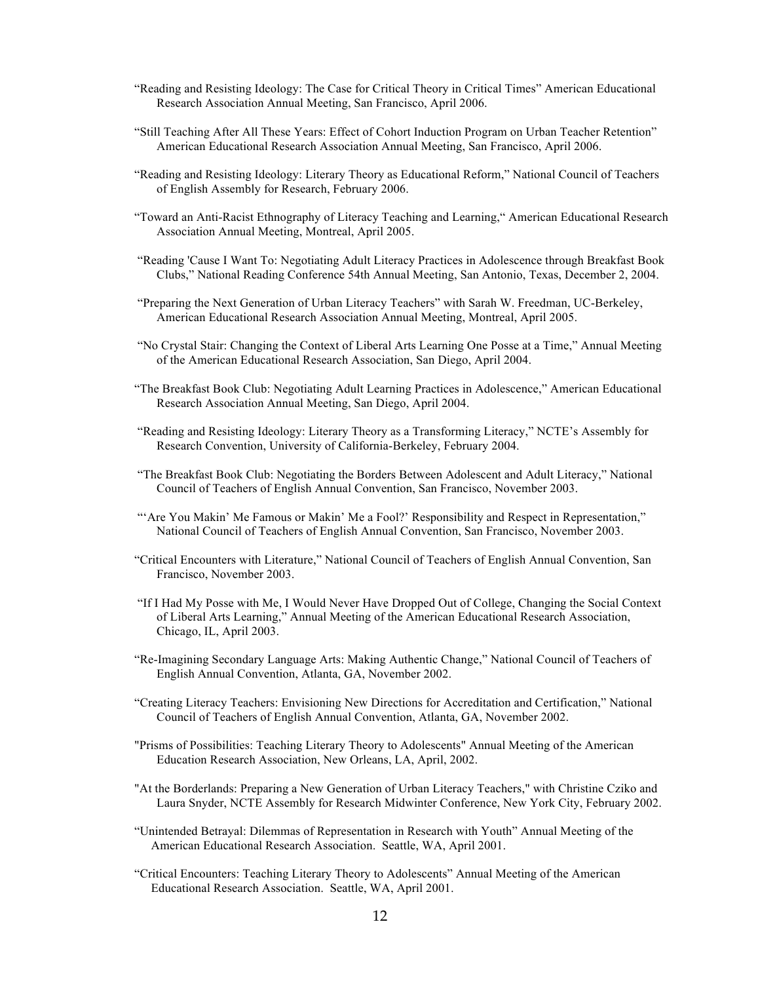- "Reading and Resisting Ideology: The Case for Critical Theory in Critical Times" American Educational Research Association Annual Meeting, San Francisco, April 2006.
- "Still Teaching After All These Years: Effect of Cohort Induction Program on Urban Teacher Retention" American Educational Research Association Annual Meeting, San Francisco, April 2006.
- "Reading and Resisting Ideology: Literary Theory as Educational Reform," National Council of Teachers of English Assembly for Research, February 2006.
- "Toward an Anti-Racist Ethnography of Literacy Teaching and Learning," American Educational Research Association Annual Meeting, Montreal, April 2005.
- "Reading 'Cause I Want To: Negotiating Adult Literacy Practices in Adolescence through Breakfast Book Clubs," National Reading Conference 54th Annual Meeting, San Antonio, Texas, December 2, 2004.
- "Preparing the Next Generation of Urban Literacy Teachers" with Sarah W. Freedman, UC-Berkeley, American Educational Research Association Annual Meeting, Montreal, April 2005.
- "No Crystal Stair: Changing the Context of Liberal Arts Learning One Posse at a Time," Annual Meeting of the American Educational Research Association, San Diego, April 2004.
- "The Breakfast Book Club: Negotiating Adult Learning Practices in Adolescence," American Educational Research Association Annual Meeting, San Diego, April 2004.
- "Reading and Resisting Ideology: Literary Theory as a Transforming Literacy," NCTE's Assembly for Research Convention, University of California-Berkeley, February 2004.
- "The Breakfast Book Club: Negotiating the Borders Between Adolescent and Adult Literacy," National Council of Teachers of English Annual Convention, San Francisco, November 2003.
- "'Are You Makin' Me Famous or Makin' Me a Fool?' Responsibility and Respect in Representation," National Council of Teachers of English Annual Convention, San Francisco, November 2003.
- "Critical Encounters with Literature," National Council of Teachers of English Annual Convention, San Francisco, November 2003.
- "If I Had My Posse with Me, I Would Never Have Dropped Out of College, Changing the Social Context of Liberal Arts Learning," Annual Meeting of the American Educational Research Association, Chicago, IL, April 2003.
- "Re-Imagining Secondary Language Arts: Making Authentic Change," National Council of Teachers of English Annual Convention, Atlanta, GA, November 2002.
- "Creating Literacy Teachers: Envisioning New Directions for Accreditation and Certification," National Council of Teachers of English Annual Convention, Atlanta, GA, November 2002.
- "Prisms of Possibilities: Teaching Literary Theory to Adolescents" Annual Meeting of the American Education Research Association, New Orleans, LA, April, 2002.
- "At the Borderlands: Preparing a New Generation of Urban Literacy Teachers," with Christine Cziko and Laura Snyder, NCTE Assembly for Research Midwinter Conference, New York City, February 2002.
- "Unintended Betrayal: Dilemmas of Representation in Research with Youth" Annual Meeting of the American Educational Research Association. Seattle, WA, April 2001.
- "Critical Encounters: Teaching Literary Theory to Adolescents" Annual Meeting of the American Educational Research Association. Seattle, WA, April 2001.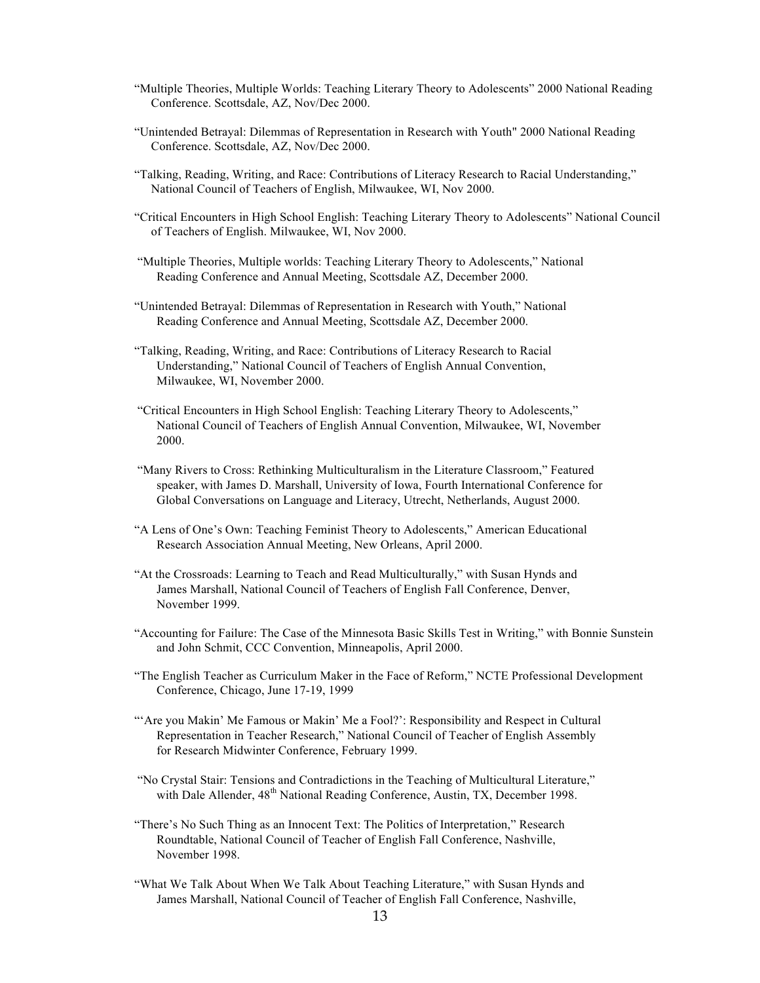- "Multiple Theories, Multiple Worlds: Teaching Literary Theory to Adolescents" 2000 National Reading Conference. Scottsdale, AZ, Nov/Dec 2000.
- "Unintended Betrayal: Dilemmas of Representation in Research with Youth" 2000 National Reading Conference. Scottsdale, AZ, Nov/Dec 2000.
- "Talking, Reading, Writing, and Race: Contributions of Literacy Research to Racial Understanding," National Council of Teachers of English, Milwaukee, WI, Nov 2000.
- "Critical Encounters in High School English: Teaching Literary Theory to Adolescents" National Council of Teachers of English. Milwaukee, WI, Nov 2000.
- "Multiple Theories, Multiple worlds: Teaching Literary Theory to Adolescents," National Reading Conference and Annual Meeting, Scottsdale AZ, December 2000.
- "Unintended Betrayal: Dilemmas of Representation in Research with Youth," National Reading Conference and Annual Meeting, Scottsdale AZ, December 2000.
- "Talking, Reading, Writing, and Race: Contributions of Literacy Research to Racial Understanding," National Council of Teachers of English Annual Convention, Milwaukee, WI, November 2000.
- "Critical Encounters in High School English: Teaching Literary Theory to Adolescents," National Council of Teachers of English Annual Convention, Milwaukee, WI, November 2000.
- "Many Rivers to Cross: Rethinking Multiculturalism in the Literature Classroom," Featured speaker, with James D. Marshall, University of Iowa, Fourth International Conference for Global Conversations on Language and Literacy, Utrecht, Netherlands, August 2000.
- "A Lens of One's Own: Teaching Feminist Theory to Adolescents," American Educational Research Association Annual Meeting, New Orleans, April 2000.
- "At the Crossroads: Learning to Teach and Read Multiculturally," with Susan Hynds and James Marshall, National Council of Teachers of English Fall Conference, Denver, November 1999.
- "Accounting for Failure: The Case of the Minnesota Basic Skills Test in Writing," with Bonnie Sunstein and John Schmit, CCC Convention, Minneapolis, April 2000.
- "The English Teacher as Curriculum Maker in the Face of Reform," NCTE Professional Development Conference, Chicago, June 17-19, 1999
- "'Are you Makin' Me Famous or Makin' Me a Fool?': Responsibility and Respect in Cultural Representation in Teacher Research," National Council of Teacher of English Assembly for Research Midwinter Conference, February 1999.
- "No Crystal Stair: Tensions and Contradictions in the Teaching of Multicultural Literature," with Dale Allender, 48<sup>th</sup> National Reading Conference, Austin, TX, December 1998.
- "There's No Such Thing as an Innocent Text: The Politics of Interpretation," Research Roundtable, National Council of Teacher of English Fall Conference, Nashville, November 1998.
- "What We Talk About When We Talk About Teaching Literature," with Susan Hynds and James Marshall, National Council of Teacher of English Fall Conference, Nashville,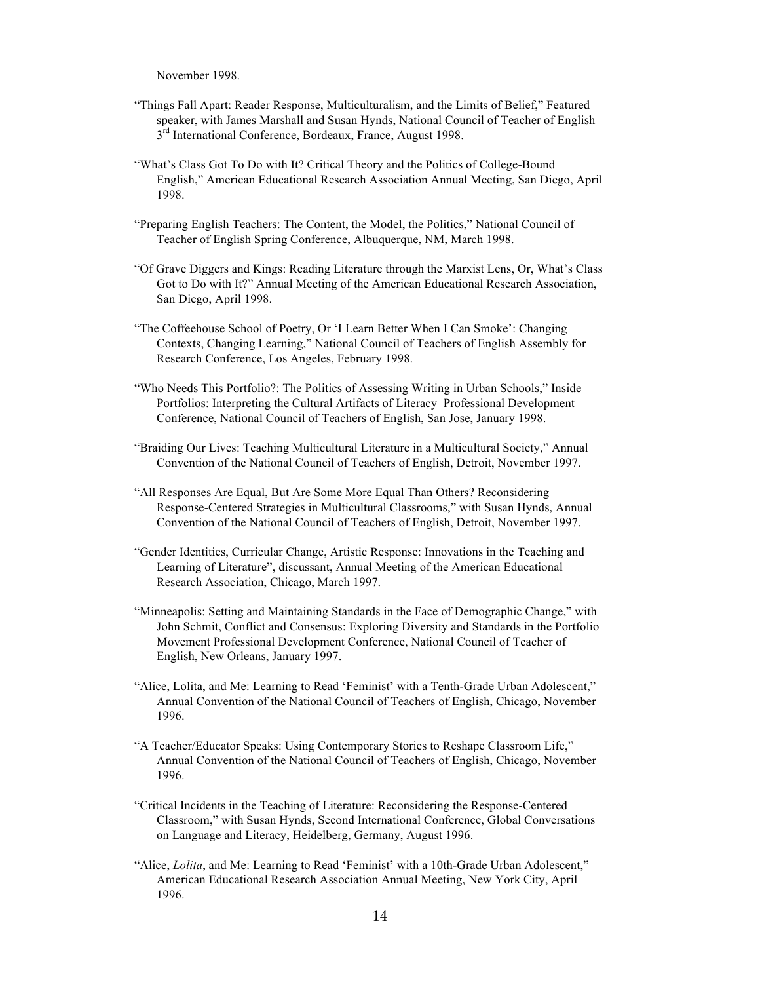November 1998.

- "Things Fall Apart: Reader Response, Multiculturalism, and the Limits of Belief," Featured speaker, with James Marshall and Susan Hynds, National Council of Teacher of English 3<sup>rd</sup> International Conference, Bordeaux, France, August 1998.
- "What's Class Got To Do with It? Critical Theory and the Politics of College-Bound English," American Educational Research Association Annual Meeting, San Diego, April 1998.
- "Preparing English Teachers: The Content, the Model, the Politics," National Council of Teacher of English Spring Conference, Albuquerque, NM, March 1998.
- "Of Grave Diggers and Kings: Reading Literature through the Marxist Lens, Or, What's Class Got to Do with It?" Annual Meeting of the American Educational Research Association, San Diego, April 1998.
- "The Coffeehouse School of Poetry, Or 'I Learn Better When I Can Smoke': Changing Contexts, Changing Learning," National Council of Teachers of English Assembly for Research Conference, Los Angeles, February 1998.
- "Who Needs This Portfolio?: The Politics of Assessing Writing in Urban Schools," Inside Portfolios: Interpreting the Cultural Artifacts of Literacy Professional Development Conference, National Council of Teachers of English, San Jose, January 1998.
- "Braiding Our Lives: Teaching Multicultural Literature in a Multicultural Society," Annual Convention of the National Council of Teachers of English, Detroit, November 1997.
- "All Responses Are Equal, But Are Some More Equal Than Others? Reconsidering Response-Centered Strategies in Multicultural Classrooms," with Susan Hynds, Annual Convention of the National Council of Teachers of English, Detroit, November 1997.
- "Gender Identities, Curricular Change, Artistic Response: Innovations in the Teaching and Learning of Literature", discussant, Annual Meeting of the American Educational Research Association, Chicago, March 1997.
- "Minneapolis: Setting and Maintaining Standards in the Face of Demographic Change," with John Schmit, Conflict and Consensus: Exploring Diversity and Standards in the Portfolio Movement Professional Development Conference, National Council of Teacher of English, New Orleans, January 1997.
- "Alice, Lolita, and Me: Learning to Read 'Feminist' with a Tenth-Grade Urban Adolescent," Annual Convention of the National Council of Teachers of English, Chicago, November 1996.
- "A Teacher/Educator Speaks: Using Contemporary Stories to Reshape Classroom Life," Annual Convention of the National Council of Teachers of English, Chicago, November 1996.
- "Critical Incidents in the Teaching of Literature: Reconsidering the Response-Centered Classroom," with Susan Hynds, Second International Conference, Global Conversations on Language and Literacy, Heidelberg, Germany, August 1996.
- "Alice, *Lolita*, and Me: Learning to Read 'Feminist' with a 10th-Grade Urban Adolescent," American Educational Research Association Annual Meeting, New York City, April 1996.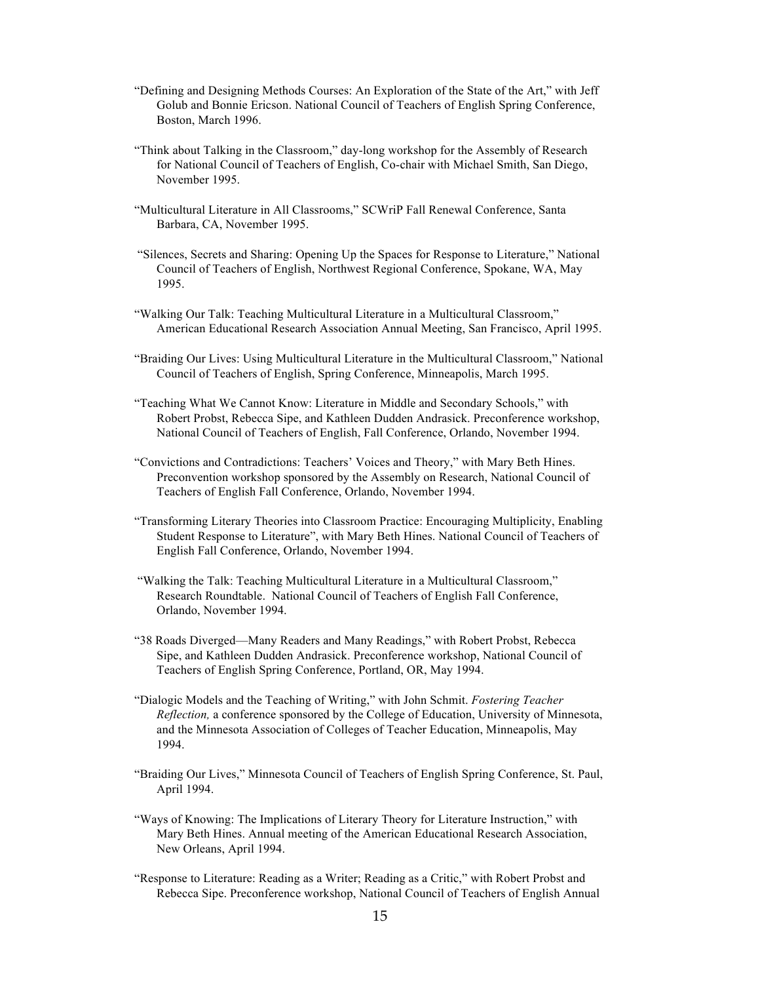- "Defining and Designing Methods Courses: An Exploration of the State of the Art," with Jeff Golub and Bonnie Ericson. National Council of Teachers of English Spring Conference, Boston, March 1996.
- "Think about Talking in the Classroom," day-long workshop for the Assembly of Research for National Council of Teachers of English, Co-chair with Michael Smith, San Diego, November 1995.
- "Multicultural Literature in All Classrooms," SCWriP Fall Renewal Conference, Santa Barbara, CA, November 1995.
- "Silences, Secrets and Sharing: Opening Up the Spaces for Response to Literature," National Council of Teachers of English, Northwest Regional Conference, Spokane, WA, May 1995.
- "Walking Our Talk: Teaching Multicultural Literature in a Multicultural Classroom," American Educational Research Association Annual Meeting, San Francisco, April 1995.
- "Braiding Our Lives: Using Multicultural Literature in the Multicultural Classroom," National Council of Teachers of English, Spring Conference, Minneapolis, March 1995.
- "Teaching What We Cannot Know: Literature in Middle and Secondary Schools," with Robert Probst, Rebecca Sipe, and Kathleen Dudden Andrasick. Preconference workshop, National Council of Teachers of English, Fall Conference, Orlando, November 1994.
- "Convictions and Contradictions: Teachers' Voices and Theory," with Mary Beth Hines. Preconvention workshop sponsored by the Assembly on Research, National Council of Teachers of English Fall Conference, Orlando, November 1994.
- "Transforming Literary Theories into Classroom Practice: Encouraging Multiplicity, Enabling Student Response to Literature", with Mary Beth Hines. National Council of Teachers of English Fall Conference, Orlando, November 1994.
- "Walking the Talk: Teaching Multicultural Literature in a Multicultural Classroom," Research Roundtable. National Council of Teachers of English Fall Conference, Orlando, November 1994.
- "38 Roads Diverged—Many Readers and Many Readings," with Robert Probst, Rebecca Sipe, and Kathleen Dudden Andrasick. Preconference workshop, National Council of Teachers of English Spring Conference, Portland, OR, May 1994.
- "Dialogic Models and the Teaching of Writing," with John Schmit. *Fostering Teacher Reflection,* a conference sponsored by the College of Education, University of Minnesota, and the Minnesota Association of Colleges of Teacher Education, Minneapolis, May 1994.
- "Braiding Our Lives," Minnesota Council of Teachers of English Spring Conference, St. Paul, April 1994.
- "Ways of Knowing: The Implications of Literary Theory for Literature Instruction," with Mary Beth Hines. Annual meeting of the American Educational Research Association, New Orleans, April 1994.
- "Response to Literature: Reading as a Writer; Reading as a Critic," with Robert Probst and Rebecca Sipe. Preconference workshop, National Council of Teachers of English Annual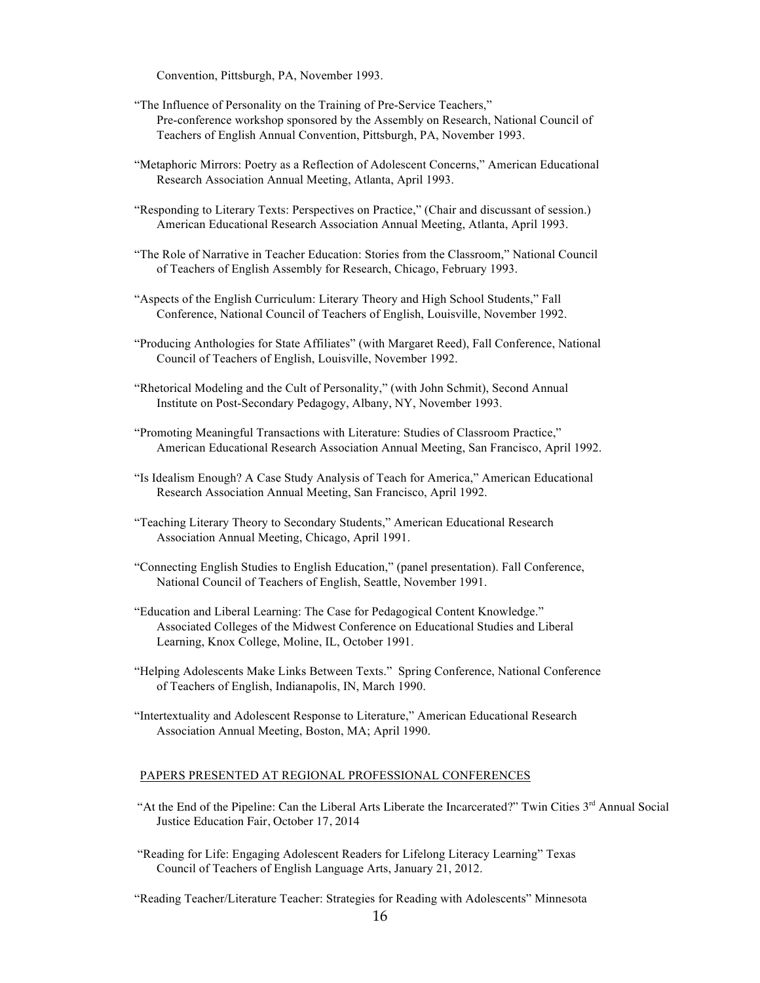Convention, Pittsburgh, PA, November 1993.

- "The Influence of Personality on the Training of Pre-Service Teachers," Pre-conference workshop sponsored by the Assembly on Research, National Council of Teachers of English Annual Convention, Pittsburgh, PA, November 1993.
- "Metaphoric Mirrors: Poetry as a Reflection of Adolescent Concerns," American Educational Research Association Annual Meeting, Atlanta, April 1993.
- "Responding to Literary Texts: Perspectives on Practice," (Chair and discussant of session.) American Educational Research Association Annual Meeting, Atlanta, April 1993.
- "The Role of Narrative in Teacher Education: Stories from the Classroom," National Council of Teachers of English Assembly for Research, Chicago, February 1993.
- "Aspects of the English Curriculum: Literary Theory and High School Students," Fall Conference, National Council of Teachers of English, Louisville, November 1992.
- "Producing Anthologies for State Affiliates" (with Margaret Reed), Fall Conference, National Council of Teachers of English, Louisville, November 1992.
- "Rhetorical Modeling and the Cult of Personality," (with John Schmit), Second Annual Institute on Post-Secondary Pedagogy, Albany, NY, November 1993.
- "Promoting Meaningful Transactions with Literature: Studies of Classroom Practice," American Educational Research Association Annual Meeting, San Francisco, April 1992.
- "Is Idealism Enough? A Case Study Analysis of Teach for America," American Educational Research Association Annual Meeting, San Francisco, April 1992.
- "Teaching Literary Theory to Secondary Students," American Educational Research Association Annual Meeting, Chicago, April 1991.
- "Connecting English Studies to English Education," (panel presentation). Fall Conference, National Council of Teachers of English, Seattle, November 1991.
- "Education and Liberal Learning: The Case for Pedagogical Content Knowledge." Associated Colleges of the Midwest Conference on Educational Studies and Liberal Learning, Knox College, Moline, IL, October 1991.
- "Helping Adolescents Make Links Between Texts." Spring Conference, National Conference of Teachers of English, Indianapolis, IN, March 1990.
- "Intertextuality and Adolescent Response to Literature," American Educational Research Association Annual Meeting, Boston, MA; April 1990.

#### PAPERS PRESENTED AT REGIONAL PROFESSIONAL CONFERENCES

- "At the End of the Pipeline: Can the Liberal Arts Liberate the Incarcerated?" Twin Cities  $3<sup>rd</sup>$  Annual Social Justice Education Fair, October 17, 2014
- "Reading for Life: Engaging Adolescent Readers for Lifelong Literacy Learning" Texas Council of Teachers of English Language Arts, January 21, 2012.

"Reading Teacher/Literature Teacher: Strategies for Reading with Adolescents" Minnesota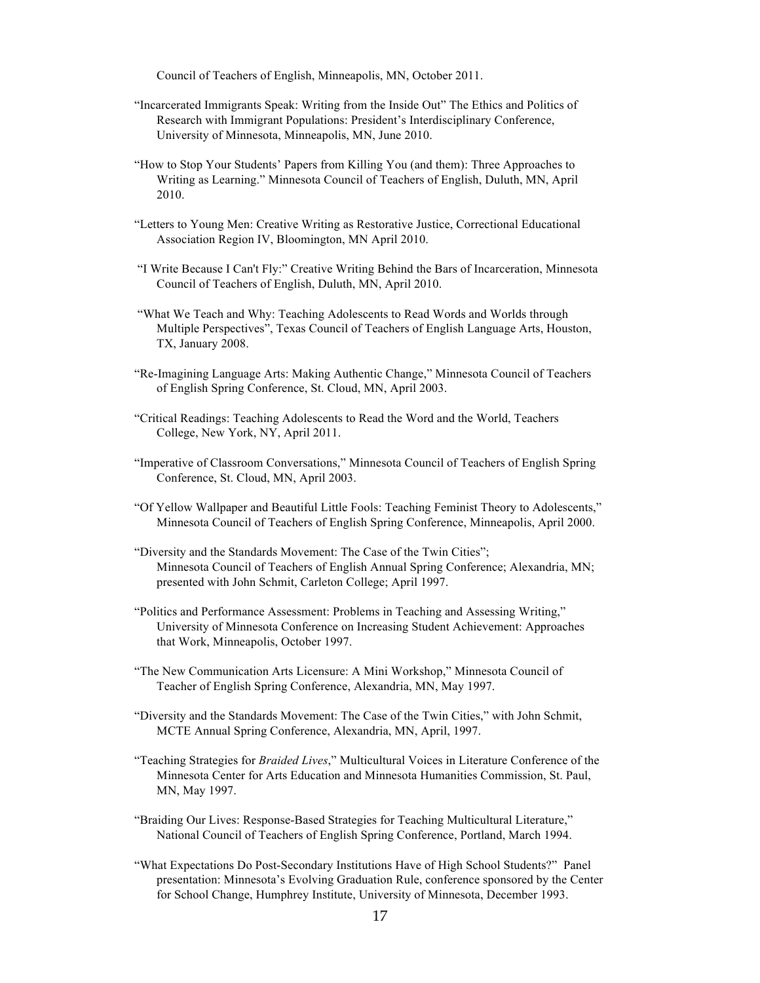Council of Teachers of English, Minneapolis, MN, October 2011.

- "Incarcerated Immigrants Speak: Writing from the Inside Out" The Ethics and Politics of Research with Immigrant Populations: President's Interdisciplinary Conference, University of Minnesota, Minneapolis, MN, June 2010.
- "How to Stop Your Students' Papers from Killing You (and them): Three Approaches to Writing as Learning." Minnesota Council of Teachers of English, Duluth, MN, April 2010.
- "Letters to Young Men: Creative Writing as Restorative Justice, Correctional Educational Association Region IV, Bloomington, MN April 2010.
- "I Write Because I Can't Fly:" Creative Writing Behind the Bars of Incarceration, Minnesota Council of Teachers of English, Duluth, MN, April 2010.
- "What We Teach and Why: Teaching Adolescents to Read Words and Worlds through Multiple Perspectives", Texas Council of Teachers of English Language Arts, Houston, TX, January 2008.
- "Re-Imagining Language Arts: Making Authentic Change," Minnesota Council of Teachers of English Spring Conference, St. Cloud, MN, April 2003.
- "Critical Readings: Teaching Adolescents to Read the Word and the World, Teachers College, New York, NY, April 2011.
- "Imperative of Classroom Conversations," Minnesota Council of Teachers of English Spring Conference, St. Cloud, MN, April 2003.
- "Of Yellow Wallpaper and Beautiful Little Fools: Teaching Feminist Theory to Adolescents," Minnesota Council of Teachers of English Spring Conference, Minneapolis, April 2000.
- "Diversity and the Standards Movement: The Case of the Twin Cities"; Minnesota Council of Teachers of English Annual Spring Conference; Alexandria, MN; presented with John Schmit, Carleton College; April 1997.
- "Politics and Performance Assessment: Problems in Teaching and Assessing Writing," University of Minnesota Conference on Increasing Student Achievement: Approaches that Work, Minneapolis, October 1997.
- "The New Communication Arts Licensure: A Mini Workshop," Minnesota Council of Teacher of English Spring Conference, Alexandria, MN, May 1997.
- "Diversity and the Standards Movement: The Case of the Twin Cities," with John Schmit, MCTE Annual Spring Conference, Alexandria, MN, April, 1997.
- "Teaching Strategies for *Braided Lives*," Multicultural Voices in Literature Conference of the Minnesota Center for Arts Education and Minnesota Humanities Commission, St. Paul, MN, May 1997.
- "Braiding Our Lives: Response-Based Strategies for Teaching Multicultural Literature," National Council of Teachers of English Spring Conference, Portland, March 1994.
- "What Expectations Do Post-Secondary Institutions Have of High School Students?" Panel presentation: Minnesota's Evolving Graduation Rule, conference sponsored by the Center for School Change, Humphrey Institute, University of Minnesota, December 1993.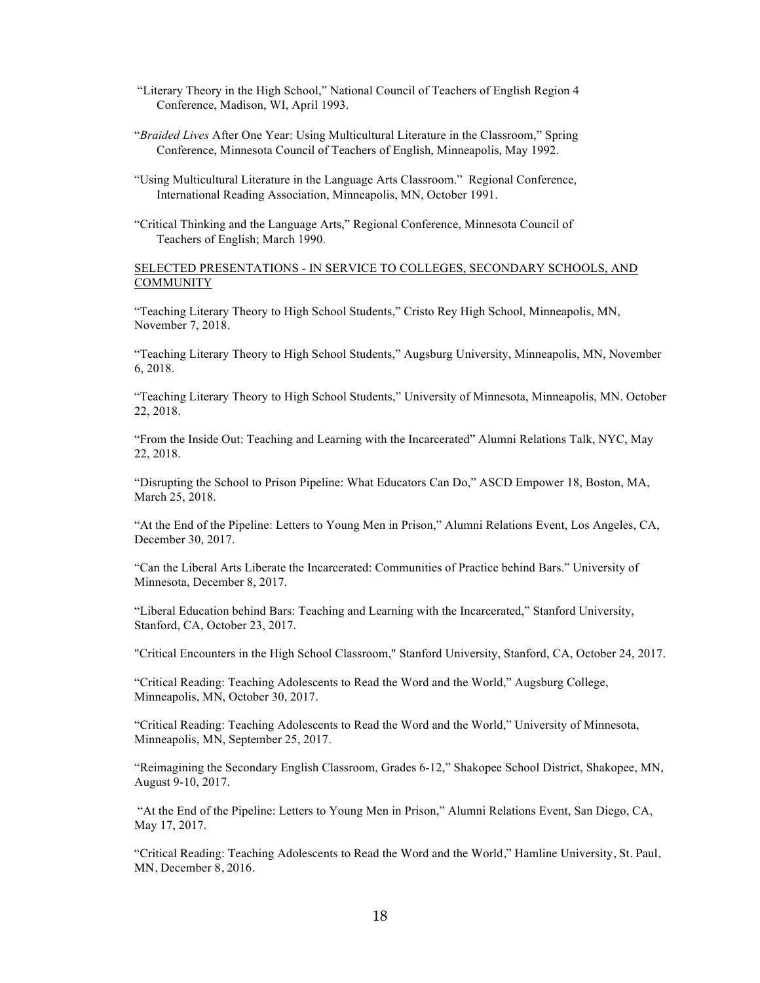- "Literary Theory in the High School," National Council of Teachers of English Region 4 Conference, Madison, WI, April 1993.
- "*Braided Lives* After One Year: Using Multicultural Literature in the Classroom," Spring Conference, Minnesota Council of Teachers of English, Minneapolis, May 1992.
- "Using Multicultural Literature in the Language Arts Classroom." Regional Conference, International Reading Association, Minneapolis, MN, October 1991.
- "Critical Thinking and the Language Arts," Regional Conference, Minnesota Council of Teachers of English; March 1990.

#### SELECTED PRESENTATIONS - IN SERVICE TO COLLEGES, SECONDARY SCHOOLS, AND **COMMUNITY**

"Teaching Literary Theory to High School Students," Cristo Rey High School, Minneapolis, MN, November 7, 2018.

"Teaching Literary Theory to High School Students," Augsburg University, Minneapolis, MN, November 6, 2018.

"Teaching Literary Theory to High School Students," University of Minnesota, Minneapolis, MN. October 22, 2018.

"From the Inside Out: Teaching and Learning with the Incarcerated" Alumni Relations Talk, NYC, May 22, 2018.

"Disrupting the School to Prison Pipeline: What Educators Can Do," ASCD Empower 18, Boston, MA, March 25, 2018.

"At the End of the Pipeline: Letters to Young Men in Prison," Alumni Relations Event, Los Angeles, CA, December 30, 2017.

"Can the Liberal Arts Liberate the Incarcerated: Communities of Practice behind Bars." University of Minnesota, December 8, 2017.

"Liberal Education behind Bars: Teaching and Learning with the Incarcerated," Stanford University, Stanford, CA, October 23, 2017.

"Critical Encounters in the High School Classroom," Stanford University, Stanford, CA, October 24, 2017.

"Critical Reading: Teaching Adolescents to Read the Word and the World," Augsburg College, Minneapolis, MN, October 30, 2017.

"Critical Reading: Teaching Adolescents to Read the Word and the World," University of Minnesota, Minneapolis, MN, September 25, 2017.

"Reimagining the Secondary English Classroom, Grades 6-12," Shakopee School District, Shakopee, MN, August 9-10, 2017.

"At the End of the Pipeline: Letters to Young Men in Prison," Alumni Relations Event, San Diego, CA, May 17, 2017.

"Critical Reading: Teaching Adolescents to Read the Word and the World," Hamline University, St. Paul, MN, December 8, 2016.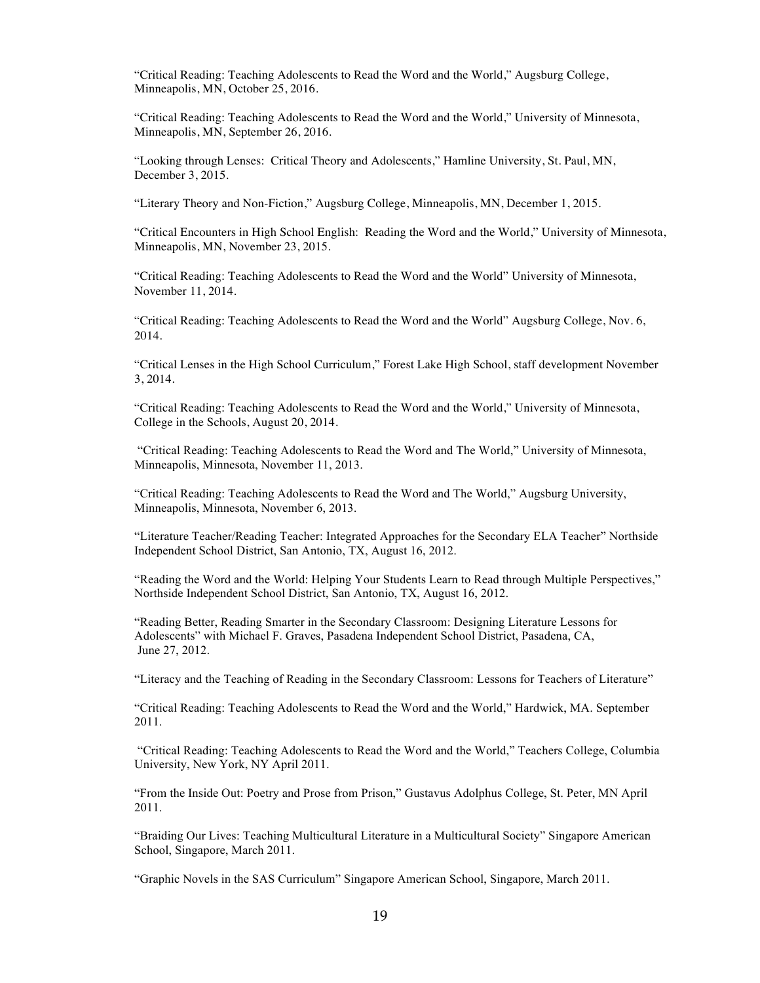"Critical Reading: Teaching Adolescents to Read the Word and the World," Augsburg College, Minneapolis, MN, October 25, 2016.

"Critical Reading: Teaching Adolescents to Read the Word and the World," University of Minnesota, Minneapolis, MN, September 26, 2016.

"Looking through Lenses: Critical Theory and Adolescents," Hamline University, St. Paul, MN, December 3, 2015.

"Literary Theory and Non-Fiction," Augsburg College, Minneapolis, MN, December 1, 2015.

"Critical Encounters in High School English: Reading the Word and the World," University of Minnesota, Minneapolis, MN, November 23, 2015.

"Critical Reading: Teaching Adolescents to Read the Word and the World" University of Minnesota, November 11, 2014.

"Critical Reading: Teaching Adolescents to Read the Word and the World" Augsburg College, Nov. 6, 2014.

"Critical Lenses in the High School Curriculum," Forest Lake High School, staff development November 3, 2014.

"Critical Reading: Teaching Adolescents to Read the Word and the World," University of Minnesota, College in the Schools, August 20, 2014.

"Critical Reading: Teaching Adolescents to Read the Word and The World," University of Minnesota, Minneapolis, Minnesota, November 11, 2013.

"Critical Reading: Teaching Adolescents to Read the Word and The World," Augsburg University, Minneapolis, Minnesota, November 6, 2013.

"Literature Teacher/Reading Teacher: Integrated Approaches for the Secondary ELA Teacher" Northside Independent School District, San Antonio, TX, August 16, 2012.

"Reading the Word and the World: Helping Your Students Learn to Read through Multiple Perspectives," Northside Independent School District, San Antonio, TX, August 16, 2012.

"Reading Better, Reading Smarter in the Secondary Classroom: Designing Literature Lessons for Adolescents" with Michael F. Graves, Pasadena Independent School District, Pasadena, CA, June 27, 2012.

"Literacy and the Teaching of Reading in the Secondary Classroom: Lessons for Teachers of Literature"

"Critical Reading: Teaching Adolescents to Read the Word and the World," Hardwick, MA. September 2011.

"Critical Reading: Teaching Adolescents to Read the Word and the World," Teachers College, Columbia University, New York, NY April 2011.

"From the Inside Out: Poetry and Prose from Prison," Gustavus Adolphus College, St. Peter, MN April 2011.

"Braiding Our Lives: Teaching Multicultural Literature in a Multicultural Society" Singapore American School, Singapore, March 2011.

"Graphic Novels in the SAS Curriculum" Singapore American School, Singapore, March 2011.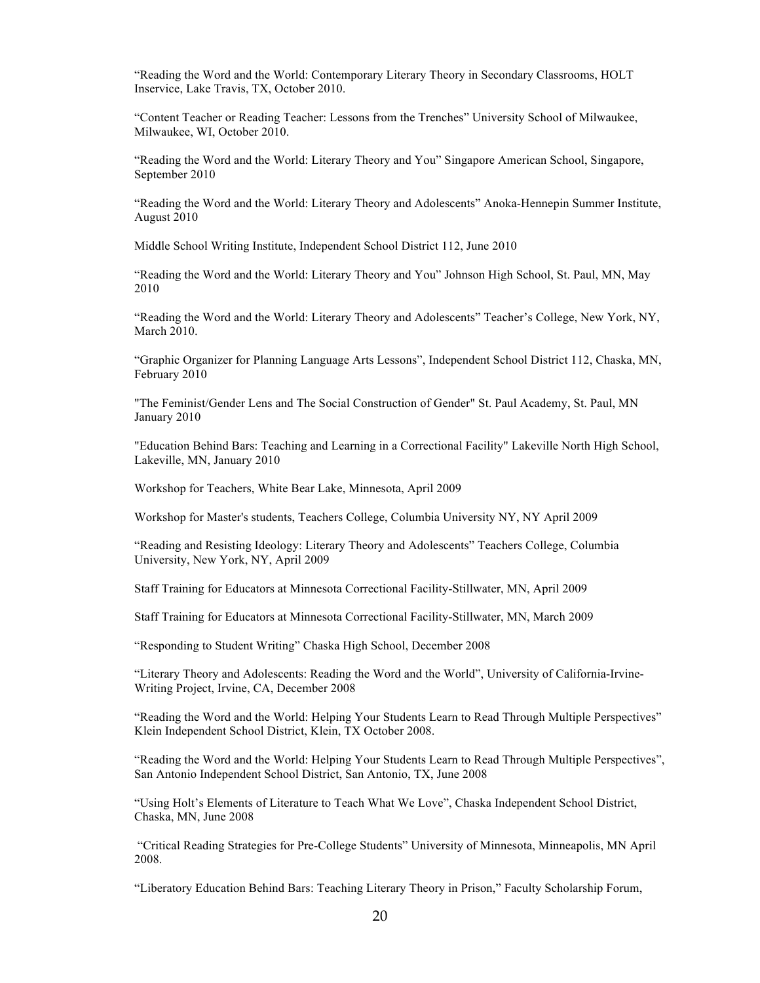"Reading the Word and the World: Contemporary Literary Theory in Secondary Classrooms, HOLT Inservice, Lake Travis, TX, October 2010.

"Content Teacher or Reading Teacher: Lessons from the Trenches" University School of Milwaukee, Milwaukee, WI, October 2010.

"Reading the Word and the World: Literary Theory and You" Singapore American School, Singapore, September 2010

"Reading the Word and the World: Literary Theory and Adolescents" Anoka-Hennepin Summer Institute, August 2010

Middle School Writing Institute, Independent School District 112, June 2010

"Reading the Word and the World: Literary Theory and You" Johnson High School, St. Paul, MN, May 2010

"Reading the Word and the World: Literary Theory and Adolescents" Teacher's College, New York, NY, March 2010.

"Graphic Organizer for Planning Language Arts Lessons", Independent School District 112, Chaska, MN, February 2010

"The Feminist/Gender Lens and The Social Construction of Gender" St. Paul Academy, St. Paul, MN January 2010

"Education Behind Bars: Teaching and Learning in a Correctional Facility" Lakeville North High School, Lakeville, MN, January 2010

Workshop for Teachers, White Bear Lake, Minnesota, April 2009

Workshop for Master's students, Teachers College, Columbia University NY, NY April 2009

"Reading and Resisting Ideology: Literary Theory and Adolescents" Teachers College, Columbia University, New York, NY, April 2009

Staff Training for Educators at Minnesota Correctional Facility-Stillwater, MN, April 2009

Staff Training for Educators at Minnesota Correctional Facility-Stillwater, MN, March 2009

"Responding to Student Writing" Chaska High School, December 2008

"Literary Theory and Adolescents: Reading the Word and the World", University of California-Irvine-Writing Project, Irvine, CA, December 2008

"Reading the Word and the World: Helping Your Students Learn to Read Through Multiple Perspectives" Klein Independent School District, Klein, TX October 2008.

"Reading the Word and the World: Helping Your Students Learn to Read Through Multiple Perspectives", San Antonio Independent School District, San Antonio, TX, June 2008

"Using Holt's Elements of Literature to Teach What We Love", Chaska Independent School District, Chaska, MN, June 2008

"Critical Reading Strategies for Pre-College Students" University of Minnesota, Minneapolis, MN April 2008.

"Liberatory Education Behind Bars: Teaching Literary Theory in Prison," Faculty Scholarship Forum,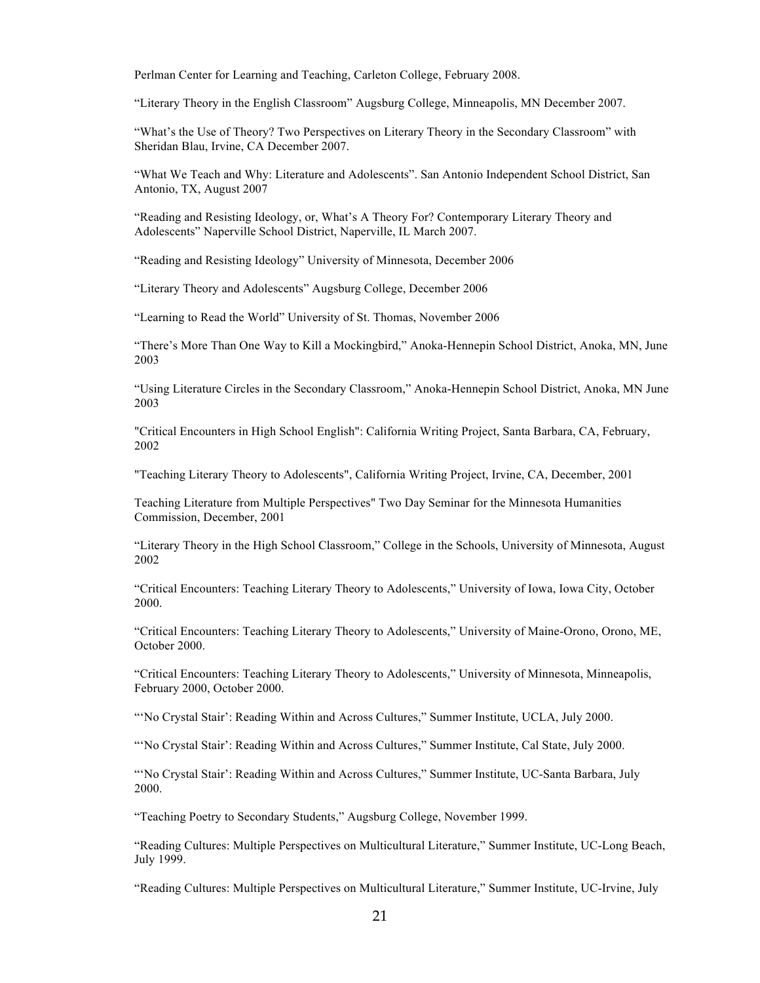Perlman Center for Learning and Teaching, Carleton College, February 2008.

"Literary Theory in the English Classroom" Augsburg College, Minneapolis, MN December 2007.

"What's the Use of Theory? Two Perspectives on Literary Theory in the Secondary Classroom" with Sheridan Blau, Irvine, CA December 2007.

"What We Teach and Why: Literature and Adolescents". San Antonio Independent School District, San Antonio, TX, August 2007

"Reading and Resisting Ideology, or, What's A Theory For? Contemporary Literary Theory and Adolescents" Naperville School District, Naperville, IL March 2007.

"Reading and Resisting Ideology" University of Minnesota, December 2006

"Literary Theory and Adolescents" Augsburg College, December 2006

"Learning to Read the World" University of St. Thomas, November 2006

"There's More Than One Way to Kill a Mockingbird," Anoka-Hennepin School District, Anoka, MN, June 2003

"Using Literature Circles in the Secondary Classroom," Anoka-Hennepin School District, Anoka, MN June 2003

"Critical Encounters in High School English": California Writing Project, Santa Barbara, CA, February, 2002

"Teaching Literary Theory to Adolescents", California Writing Project, Irvine, CA, December, 2001

Teaching Literature from Multiple Perspectives" Two Day Seminar for the Minnesota Humanities Commission, December, 2001

"Literary Theory in the High School Classroom," College in the Schools, University of Minnesota, August 2002

"Critical Encounters: Teaching Literary Theory to Adolescents," University of Iowa, Iowa City, October 2000.

"Critical Encounters: Teaching Literary Theory to Adolescents," University of Maine-Orono, Orono, ME, October 2000.

"Critical Encounters: Teaching Literary Theory to Adolescents," University of Minnesota, Minneapolis, February 2000, October 2000.

"'No Crystal Stair': Reading Within and Across Cultures," Summer Institute, UCLA, July 2000.

"'No Crystal Stair': Reading Within and Across Cultures," Summer Institute, Cal State, July 2000.

"'No Crystal Stair': Reading Within and Across Cultures," Summer Institute, UC-Santa Barbara, July 2000.

"Teaching Poetry to Secondary Students," Augsburg College, November 1999.

"Reading Cultures: Multiple Perspectives on Multicultural Literature," Summer Institute, UC-Long Beach, July 1999.

"Reading Cultures: Multiple Perspectives on Multicultural Literature," Summer Institute, UC-Irvine, July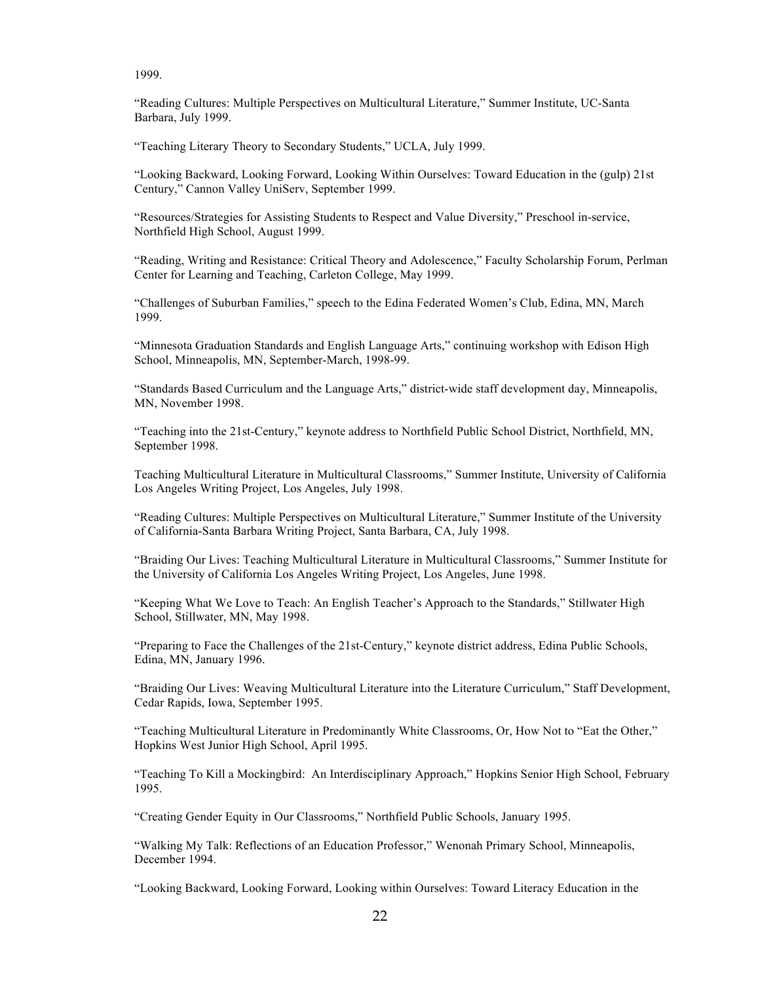1999.

"Reading Cultures: Multiple Perspectives on Multicultural Literature," Summer Institute, UC-Santa Barbara, July 1999.

"Teaching Literary Theory to Secondary Students," UCLA, July 1999.

"Looking Backward, Looking Forward, Looking Within Ourselves: Toward Education in the (gulp) 21st Century," Cannon Valley UniServ, September 1999.

"Resources/Strategies for Assisting Students to Respect and Value Diversity," Preschool in-service, Northfield High School, August 1999.

"Reading, Writing and Resistance: Critical Theory and Adolescence," Faculty Scholarship Forum, Perlman Center for Learning and Teaching, Carleton College, May 1999.

"Challenges of Suburban Families," speech to the Edina Federated Women's Club, Edina, MN, March 1999.

"Minnesota Graduation Standards and English Language Arts," continuing workshop with Edison High School, Minneapolis, MN, September-March, 1998-99.

"Standards Based Curriculum and the Language Arts," district-wide staff development day, Minneapolis, MN, November 1998.

"Teaching into the 21st-Century," keynote address to Northfield Public School District, Northfield, MN, September 1998.

Teaching Multicultural Literature in Multicultural Classrooms," Summer Institute, University of California Los Angeles Writing Project, Los Angeles, July 1998.

"Reading Cultures: Multiple Perspectives on Multicultural Literature," Summer Institute of the University of California-Santa Barbara Writing Project, Santa Barbara, CA, July 1998.

"Braiding Our Lives: Teaching Multicultural Literature in Multicultural Classrooms," Summer Institute for the University of California Los Angeles Writing Project, Los Angeles, June 1998.

"Keeping What We Love to Teach: An English Teacher's Approach to the Standards," Stillwater High School, Stillwater, MN, May 1998.

"Preparing to Face the Challenges of the 21st-Century," keynote district address, Edina Public Schools, Edina, MN, January 1996.

"Braiding Our Lives: Weaving Multicultural Literature into the Literature Curriculum," Staff Development, Cedar Rapids, Iowa, September 1995.

"Teaching Multicultural Literature in Predominantly White Classrooms, Or, How Not to "Eat the Other," Hopkins West Junior High School, April 1995.

"Teaching To Kill a Mockingbird: An Interdisciplinary Approach," Hopkins Senior High School, February 1995.

"Creating Gender Equity in Our Classrooms," Northfield Public Schools, January 1995.

"Walking My Talk: Reflections of an Education Professor," Wenonah Primary School, Minneapolis, December 1994.

"Looking Backward, Looking Forward, Looking within Ourselves: Toward Literacy Education in the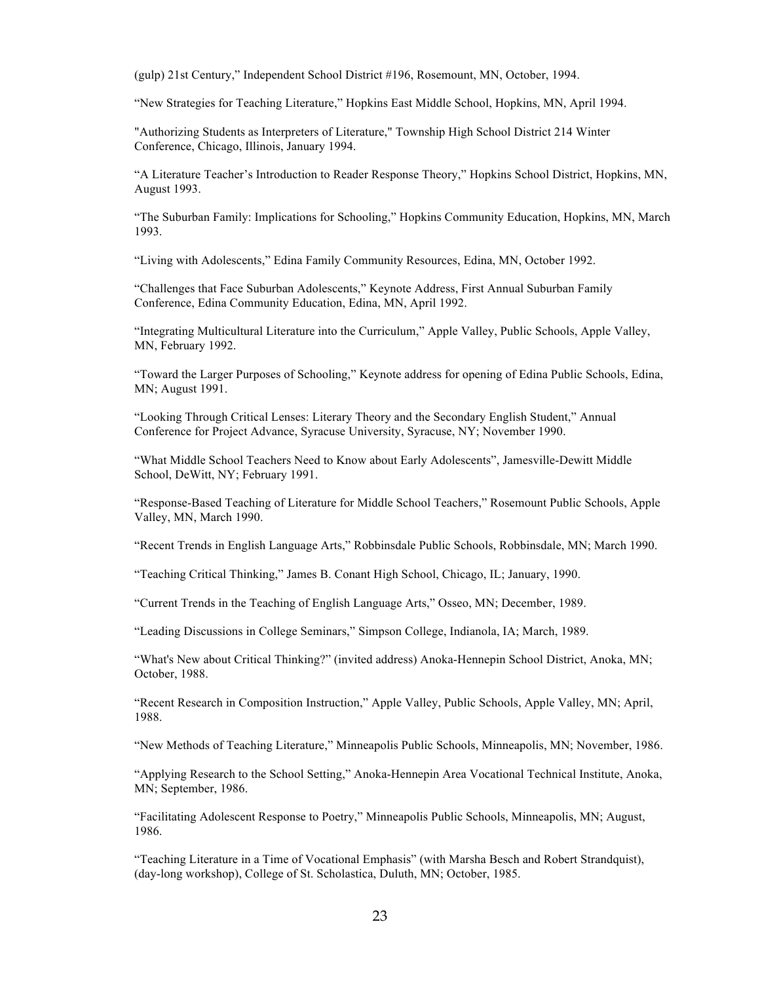(gulp) 21st Century," Independent School District #196, Rosemount, MN, October, 1994.

"New Strategies for Teaching Literature," Hopkins East Middle School, Hopkins, MN, April 1994.

"Authorizing Students as Interpreters of Literature," Township High School District 214 Winter Conference, Chicago, Illinois, January 1994.

"A Literature Teacher's Introduction to Reader Response Theory," Hopkins School District, Hopkins, MN, August 1993.

"The Suburban Family: Implications for Schooling," Hopkins Community Education, Hopkins, MN, March 1993.

"Living with Adolescents," Edina Family Community Resources, Edina, MN, October 1992.

"Challenges that Face Suburban Adolescents," Keynote Address, First Annual Suburban Family Conference, Edina Community Education, Edina, MN, April 1992.

"Integrating Multicultural Literature into the Curriculum," Apple Valley, Public Schools, Apple Valley, MN, February 1992.

"Toward the Larger Purposes of Schooling," Keynote address for opening of Edina Public Schools, Edina, MN; August 1991.

"Looking Through Critical Lenses: Literary Theory and the Secondary English Student," Annual Conference for Project Advance, Syracuse University, Syracuse, NY; November 1990.

"What Middle School Teachers Need to Know about Early Adolescents", Jamesville-Dewitt Middle School, DeWitt, NY; February 1991.

"Response-Based Teaching of Literature for Middle School Teachers," Rosemount Public Schools, Apple Valley, MN, March 1990.

"Recent Trends in English Language Arts," Robbinsdale Public Schools, Robbinsdale, MN; March 1990.

"Teaching Critical Thinking," James B. Conant High School, Chicago, IL; January, 1990.

"Current Trends in the Teaching of English Language Arts," Osseo, MN; December, 1989.

"Leading Discussions in College Seminars," Simpson College, Indianola, IA; March, 1989.

"What's New about Critical Thinking?" (invited address) Anoka-Hennepin School District, Anoka, MN; October, 1988.

"Recent Research in Composition Instruction," Apple Valley, Public Schools, Apple Valley, MN; April, 1988.

"New Methods of Teaching Literature," Minneapolis Public Schools, Minneapolis, MN; November, 1986.

"Applying Research to the School Setting," Anoka-Hennepin Area Vocational Technical Institute, Anoka, MN; September, 1986.

"Facilitating Adolescent Response to Poetry," Minneapolis Public Schools, Minneapolis, MN; August, 1986.

"Teaching Literature in a Time of Vocational Emphasis" (with Marsha Besch and Robert Strandquist), (day-long workshop), College of St. Scholastica, Duluth, MN; October, 1985.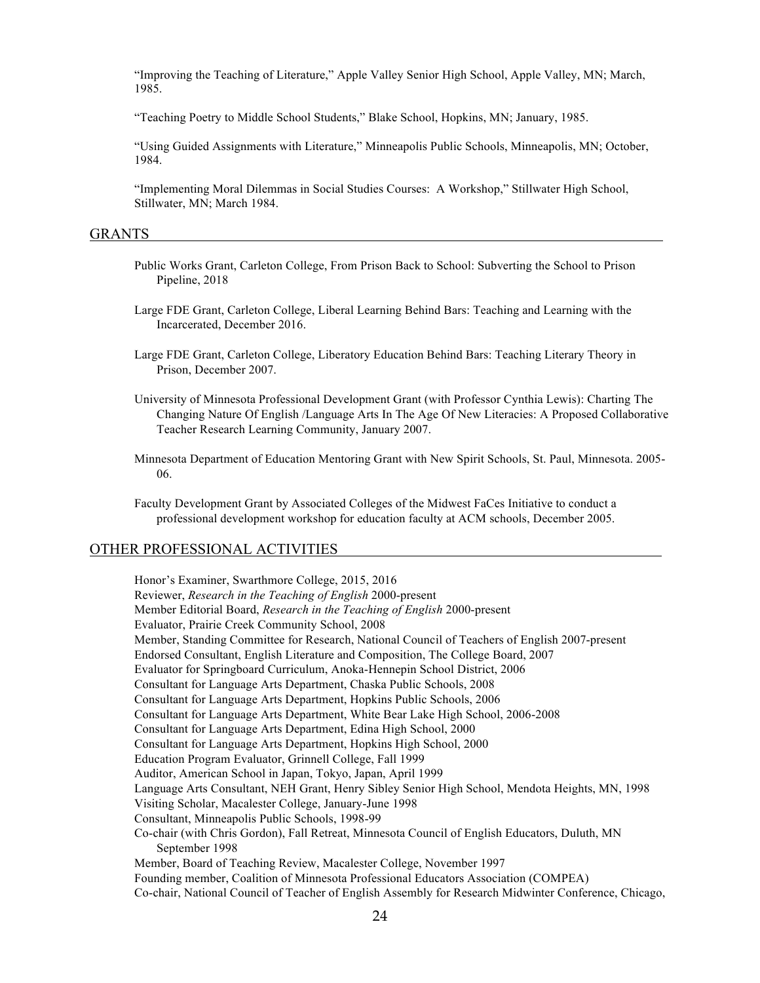"Improving the Teaching of Literature," Apple Valley Senior High School, Apple Valley, MN; March, 1985.

"Teaching Poetry to Middle School Students," Blake School, Hopkins, MN; January, 1985.

"Using Guided Assignments with Literature," Minneapolis Public Schools, Minneapolis, MN; October, 1984.

"Implementing Moral Dilemmas in Social Studies Courses: A Workshop," Stillwater High School, Stillwater, MN; March 1984.

#### GRANTS

- Public Works Grant, Carleton College, From Prison Back to School: Subverting the School to Prison Pipeline, 2018
- Large FDE Grant, Carleton College, Liberal Learning Behind Bars: Teaching and Learning with the Incarcerated, December 2016.
- Large FDE Grant, Carleton College, Liberatory Education Behind Bars: Teaching Literary Theory in Prison, December 2007.
- University of Minnesota Professional Development Grant (with Professor Cynthia Lewis): Charting The Changing Nature Of English /Language Arts In The Age Of New Literacies: A Proposed Collaborative Teacher Research Learning Community, January 2007.
- Minnesota Department of Education Mentoring Grant with New Spirit Schools, St. Paul, Minnesota. 2005- 06.
- Faculty Development Grant by Associated Colleges of the Midwest FaCes Initiative to conduct a professional development workshop for education faculty at ACM schools, December 2005.

#### OTHER PROFESSIONAL ACTIVITIES

Honor's Examiner, Swarthmore College, 2015, 2016 Reviewer, *Research in the Teaching of English* 2000-present Member Editorial Board, *Research in the Teaching of English* 2000-present Evaluator, Prairie Creek Community School, 2008 Member, Standing Committee for Research, National Council of Teachers of English 2007-present Endorsed Consultant, English Literature and Composition, The College Board, 2007 Evaluator for Springboard Curriculum, Anoka-Hennepin School District, 2006 Consultant for Language Arts Department, Chaska Public Schools, 2008 Consultant for Language Arts Department, Hopkins Public Schools, 2006 Consultant for Language Arts Department, White Bear Lake High School, 2006-2008 Consultant for Language Arts Department, Edina High School, 2000 Consultant for Language Arts Department, Hopkins High School, 2000 Education Program Evaluator, Grinnell College, Fall 1999 Auditor, American School in Japan, Tokyo, Japan, April 1999 Language Arts Consultant, NEH Grant, Henry Sibley Senior High School, Mendota Heights, MN, 1998 Visiting Scholar, Macalester College, January-June 1998 Consultant, Minneapolis Public Schools, 1998-99 Co-chair (with Chris Gordon), Fall Retreat, Minnesota Council of English Educators, Duluth, MN September 1998 Member, Board of Teaching Review, Macalester College, November 1997 Founding member, Coalition of Minnesota Professional Educators Association (COMPEA) Co-chair, National Council of Teacher of English Assembly for Research Midwinter Conference, Chicago,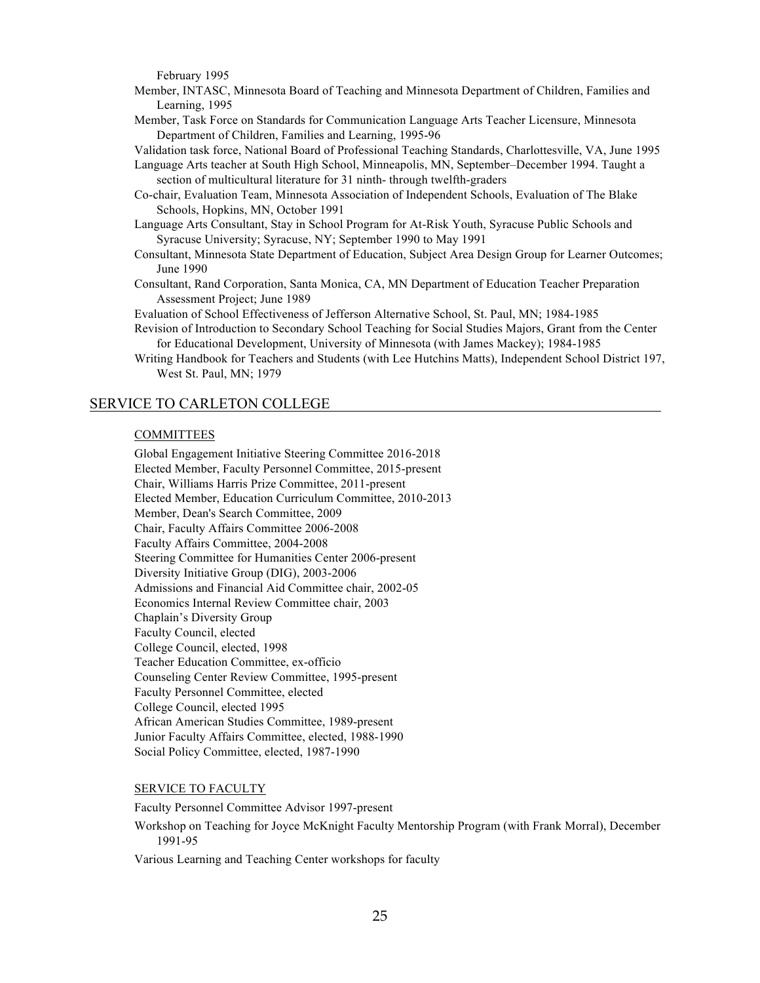February 1995

- Member, INTASC, Minnesota Board of Teaching and Minnesota Department of Children, Families and Learning, 1995
- Member, Task Force on Standards for Communication Language Arts Teacher Licensure, Minnesota Department of Children, Families and Learning, 1995-96

Validation task force, National Board of Professional Teaching Standards, Charlottesville, VA, June 1995

- Language Arts teacher at South High School, Minneapolis, MN, September–December 1994. Taught a section of multicultural literature for 31 ninth- through twelfth-graders
- Co-chair, Evaluation Team, Minnesota Association of Independent Schools, Evaluation of The Blake Schools, Hopkins, MN, October 1991
- Language Arts Consultant, Stay in School Program for At-Risk Youth, Syracuse Public Schools and Syracuse University; Syracuse, NY; September 1990 to May 1991
- Consultant, Minnesota State Department of Education, Subject Area Design Group for Learner Outcomes; June 1990
- Consultant, Rand Corporation, Santa Monica, CA, MN Department of Education Teacher Preparation Assessment Project; June 1989
- Evaluation of School Effectiveness of Jefferson Alternative School, St. Paul, MN; 1984-1985
- Revision of Introduction to Secondary School Teaching for Social Studies Majors, Grant from the Center for Educational Development, University of Minnesota (with James Mackey); 1984-1985
- Writing Handbook for Teachers and Students (with Lee Hutchins Matts), Independent School District 197, West St. Paul, MN; 1979

### SERVICE TO CARLETON COLLEGE

### COMMITTEES

Global Engagement Initiative Steering Committee 2016-2018 Elected Member, Faculty Personnel Committee, 2015-present Chair, Williams Harris Prize Committee, 2011-present Elected Member, Education Curriculum Committee, 2010-2013 Member, Dean's Search Committee, 2009 Chair, Faculty Affairs Committee 2006-2008 Faculty Affairs Committee, 2004-2008 Steering Committee for Humanities Center 2006-present Diversity Initiative Group (DIG), 2003-2006 Admissions and Financial Aid Committee chair, 2002-05 Economics Internal Review Committee chair, 2003 Chaplain's Diversity Group Faculty Council, elected College Council, elected, 1998 Teacher Education Committee, ex-officio Counseling Center Review Committee, 1995-present Faculty Personnel Committee, elected College Council, elected 1995 African American Studies Committee, 1989-present Junior Faculty Affairs Committee, elected, 1988-1990 Social Policy Committee, elected, 1987-1990

#### SERVICE TO FACULTY

Faculty Personnel Committee Advisor 1997-present

Workshop on Teaching for Joyce McKnight Faculty Mentorship Program (with Frank Morral), December 1991-95

Various Learning and Teaching Center workshops for faculty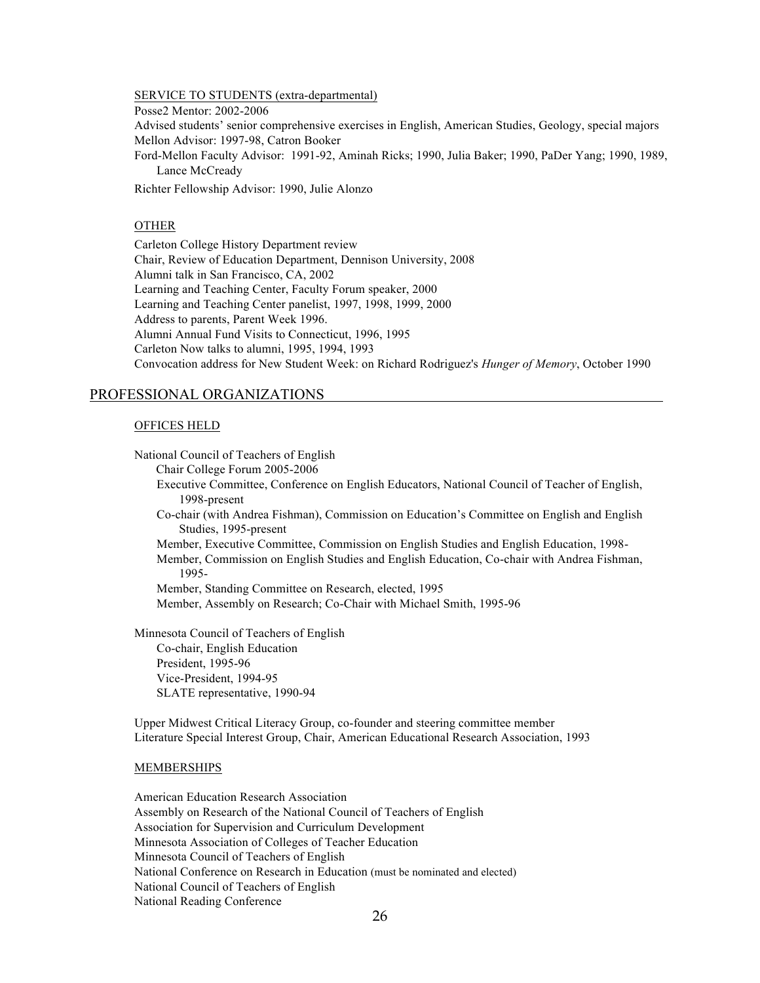#### SERVICE TO STUDENTS (extra-departmental)

Posse2 Mentor: 2002-2006

Advised students' senior comprehensive exercises in English, American Studies, Geology, special majors Mellon Advisor: 1997-98, Catron Booker

Ford-Mellon Faculty Advisor: 1991-92, Aminah Ricks; 1990, Julia Baker; 1990, PaDer Yang; 1990, 1989, Lance McCready

Richter Fellowship Advisor: 1990, Julie Alonzo

# OTHER

Carleton College History Department review Chair, Review of Education Department, Dennison University, 2008 Alumni talk in San Francisco, CA, 2002 Learning and Teaching Center, Faculty Forum speaker, 2000 Learning and Teaching Center panelist, 1997, 1998, 1999, 2000 Address to parents, Parent Week 1996. Alumni Annual Fund Visits to Connecticut, 1996, 1995 Carleton Now talks to alumni, 1995, 1994, 1993 Convocation address for New Student Week: on Richard Rodriguez's *Hunger of Memory*, October 1990

### PROFESSIONAL ORGANIZATIONS

#### OFFICES HELD

National Council of Teachers of English

 Chair College Forum 2005-2006 Executive Committee, Conference on English Educators, National Council of Teacher of English, 1998-present Co-chair (with Andrea Fishman), Commission on Education's Committee on English and English Studies, 1995-present Member, Executive Committee, Commission on English Studies and English Education, 1998-

Member, Commission on English Studies and English Education, Co-chair with Andrea Fishman, 1995-

Member, Standing Committee on Research, elected, 1995 Member, Assembly on Research; Co-Chair with Michael Smith, 1995-96

Minnesota Council of Teachers of English Co-chair, English Education President, 1995-96 Vice-President, 1994-95 SLATE representative, 1990-94

Upper Midwest Critical Literacy Group, co-founder and steering committee member Literature Special Interest Group, Chair, American Educational Research Association, 1993

#### MEMBERSHIPS

American Education Research Association Assembly on Research of the National Council of Teachers of English Association for Supervision and Curriculum Development Minnesota Association of Colleges of Teacher Education Minnesota Council of Teachers of English National Conference on Research in Education (must be nominated and elected) National Council of Teachers of English National Reading Conference